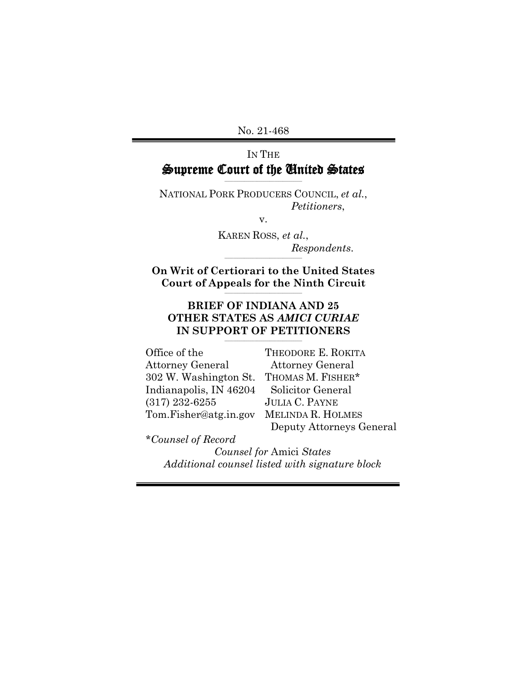#### IN THE Supreme Court of the United States \_\_\_\_\_\_\_\_\_\_\_\_\_\_\_\_\_\_\_\_\_\_\_\_\_\_\_\_\_\_\_\_\_\_\_\_

NATIONAL PORK PRODUCERS COUNCIL, *et al.*, *Petitioners*,

v.

KAREN ROSS, *et al.*, *Respondents*.  $\mathcal{L}_\text{max}$  and  $\mathcal{L}_\text{max}$  and  $\mathcal{L}_\text{max}$  and  $\mathcal{L}_\text{max}$ 

**On Writ of Certiorari to the United States Court of Appeals for the Ninth Circuit \_\_\_\_\_\_\_\_\_\_\_\_\_\_\_\_\_\_\_\_\_\_\_\_\_\_\_\_\_\_\_\_\_\_\_\_**

#### **BRIEF OF INDIANA AND 25 OTHER STATES AS** *AMICI CURIAE* **IN SUPPORT OF PETITIONERS \_\_\_\_\_\_\_\_\_\_\_\_\_\_\_\_\_\_\_\_\_\_\_\_\_\_\_\_\_\_\_\_\_\_\_\_**

Office of the Attorney General 302 W. Washington St. Indianapolis, IN 46204 (317) 232-6255 Tom.Fisher@atg.in.gov

THEODORE E. ROKITA Attorney General THOMAS M. FISHER\* Solicitor General JULIA C. PAYNE MELINDA R. HOLMES Deputy Attorneys General

*\*Counsel of Record*

*Counsel for* Amici *States Additional counsel listed with signature block*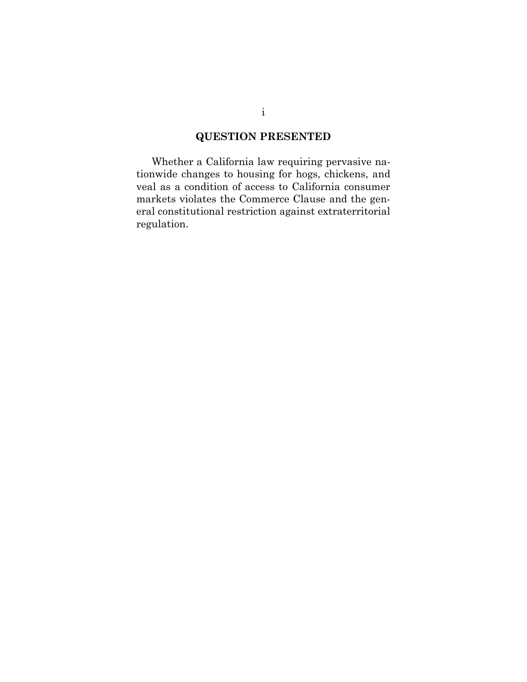### **QUESTION PRESENTED**

Whether a California law requiring pervasive nationwide changes to housing for hogs, chickens, and veal as a condition of access to California consumer markets violates the Commerce Clause and the general constitutional restriction against extraterritorial regulation.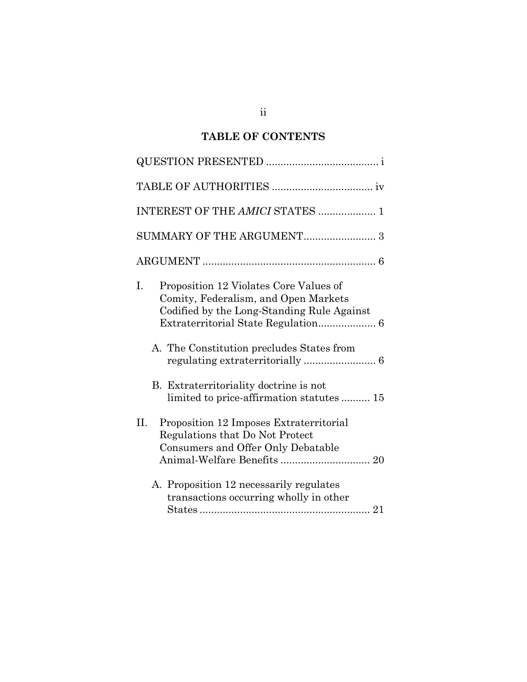## **TABLE OF CONTENTS**

| INTEREST OF THE AMICI STATES  1                                                                                                                                           |
|---------------------------------------------------------------------------------------------------------------------------------------------------------------------------|
|                                                                                                                                                                           |
|                                                                                                                                                                           |
| I.<br>Proposition 12 Violates Core Values of<br>Comity, Federalism, and Open Markets<br>Codified by the Long-Standing Rule Against<br>Extraterritorial State Regulation 6 |
| A. The Constitution precludes States from                                                                                                                                 |
| B. Extraterritoriality doctrine is not<br>limited to price-affirmation statutes 15                                                                                        |
| II.<br>Proposition 12 Imposes Extraterritorial<br>Regulations that Do Not Protect<br>Consumers and Offer Only Debatable                                                   |
| A. Proposition 12 necessarily regulates<br>transactions occurring wholly in other                                                                                         |

ii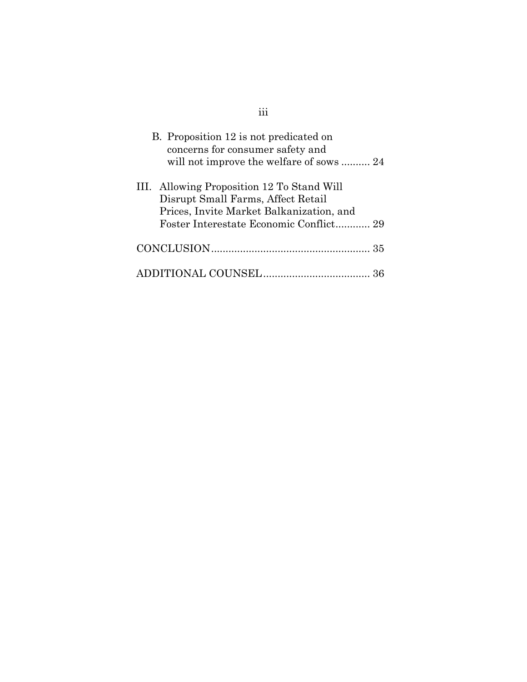| B. Proposition 12 is not predicated on<br>concerns for consumer safety and<br>will not improve the welfare of sows 24        |  |
|------------------------------------------------------------------------------------------------------------------------------|--|
| III. Allowing Proposition 12 To Stand Will<br>Disrupt Small Farms, Affect Retail<br>Prices, Invite Market Balkanization, and |  |
|                                                                                                                              |  |
|                                                                                                                              |  |

iii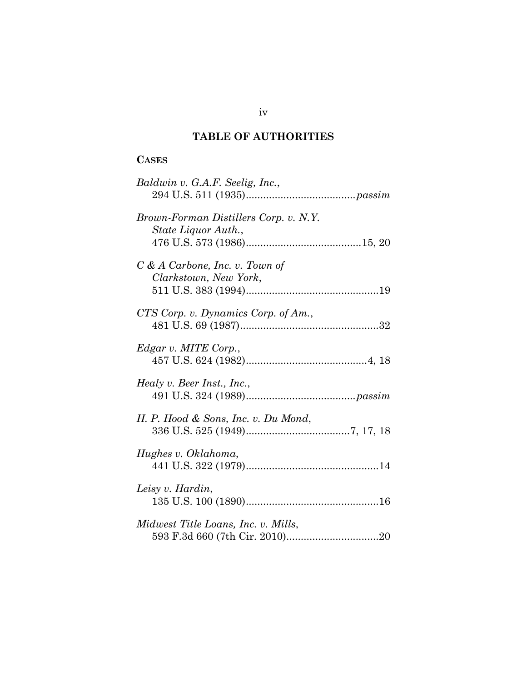## **TABLE OF AUTHORITIES**

### **CASES**

| Baldwin v. G.A.F. Seelig, Inc.,                              |
|--------------------------------------------------------------|
| Brown-Forman Distillers Corp. v. N.Y.<br>State Liquor Auth., |
| $C & A$ Carbone, Inc. v. Town of<br>Clarkstown, New York,    |
| CTS Corp. v. Dynamics Corp. of Am.,                          |
| Edgar v. MITE Corp.,                                         |
| Healy v. Beer Inst., Inc.,                                   |
| H. P. Hood & Sons, Inc. v. Du Mond,                          |
| Hughes v. Oklahoma,                                          |
| Leisy v. Hardin,                                             |
| Midwest Title Loans, Inc. v. Mills,                          |

iv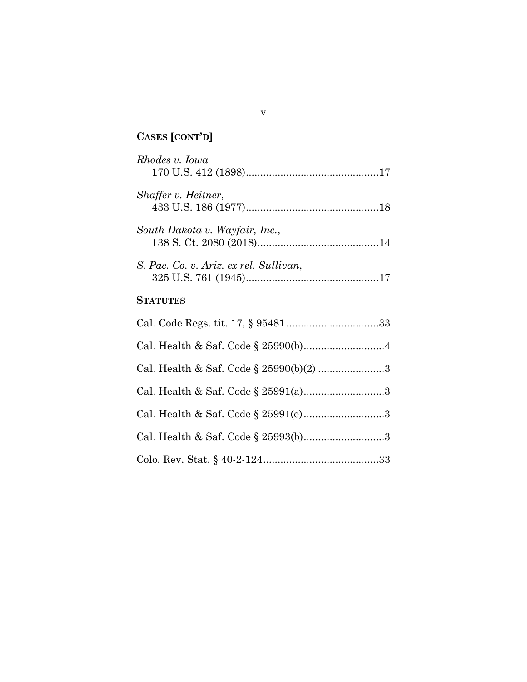## **CASES [CONT'D]**

| Rhodes v. Iowa                          |  |
|-----------------------------------------|--|
| Shaffer v. Heitner,                     |  |
| South Dakota v. Wayfair, Inc.,          |  |
| S. Pac. Co. v. Ariz. ex rel. Sullivan,  |  |
| <b>STATUTES</b>                         |  |
|                                         |  |
|                                         |  |
| Cal. Health & Saf. Code § 25990(b)(2) 3 |  |

Cal. Health & Saf. Code § 25991(a)...........................[.3](#page-13-3)

Cal. Health & Saf. Code  $\S~25991(e) \dots 3$ 

Cal. Health & Saf. Code § 25993(b)...........................[.3](#page-13-4)

Colo. Rev. Stat. § 40-2-124.......................................[.33](#page-43-1)

v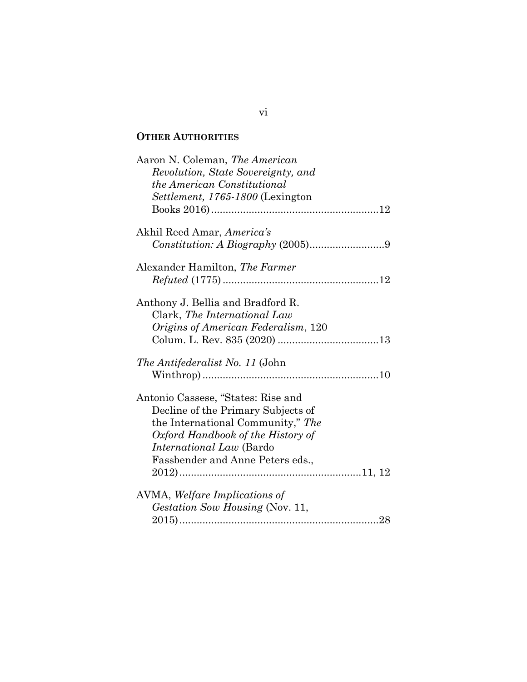### **OTHER AUTHORITIES**

| Aaron N. Coleman, The American         |  |
|----------------------------------------|--|
| Revolution, State Sovereignty, and     |  |
| the American Constitutional            |  |
| Settlement, 1765-1800 (Lexington       |  |
|                                        |  |
| Akhil Reed Amar, America's             |  |
|                                        |  |
| Alexander Hamilton, The Farmer         |  |
|                                        |  |
| Anthony J. Bellia and Bradford R.      |  |
| Clark, The International Law           |  |
| Origins of American Federalism, 120    |  |
|                                        |  |
| <i>The Antifederalist No. 11</i> (John |  |
|                                        |  |
| Antonio Cassese, "States: Rise and     |  |
| Decline of the Primary Subjects of     |  |
| the International Community," The      |  |
| Oxford Handbook of the History of      |  |
| International Law (Bardo               |  |
| Fassbender and Anne Peters eds.,       |  |
|                                        |  |
| AVMA, Welfare Implications of          |  |
| Gestation Sow Housing (Nov. 11,        |  |
|                                        |  |
|                                        |  |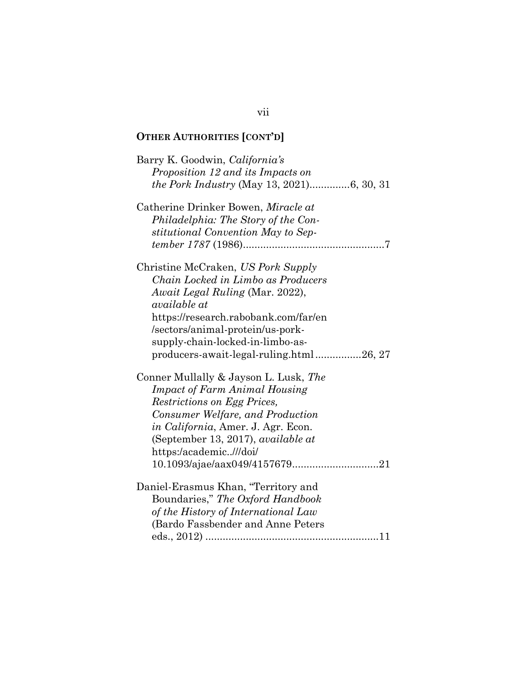| Barry K. Goodwin, California's<br>Proposition 12 and its Impacts on                                                                                                                                                                                                                           |
|-----------------------------------------------------------------------------------------------------------------------------------------------------------------------------------------------------------------------------------------------------------------------------------------------|
| Catherine Drinker Bowen, Miracle at<br>Philadelphia: The Story of the Con-<br>stitutional Convention May to Sep-                                                                                                                                                                              |
| Christine McCraken, US Pork Supply<br>Chain Locked in Limbo as Producers<br><i>Await Legal Ruling</i> (Mar. 2022),<br>available at<br>https://research.rabobank.com/far/en<br>/sectors/animal-protein/us-pork-<br>supply-chain-locked-in-limbo-as-<br>producers-await-legal-ruling.html26, 27 |
| Conner Mullally & Jayson L. Lusk, The<br><b>Impact of Farm Animal Housing</b><br>Restrictions on Egg Prices,<br>Consumer Welfare, and Production<br>in California, Amer. J. Agr. Econ.<br>(September 13, 2017), <i>available at</i><br>https:/academic///doi/                                 |
| Daniel-Erasmus Khan, "Territory and<br>Boundaries," The Oxford Handbook<br>of the History of International Law<br>(Bardo Fassbender and Anne Peters                                                                                                                                           |

### vii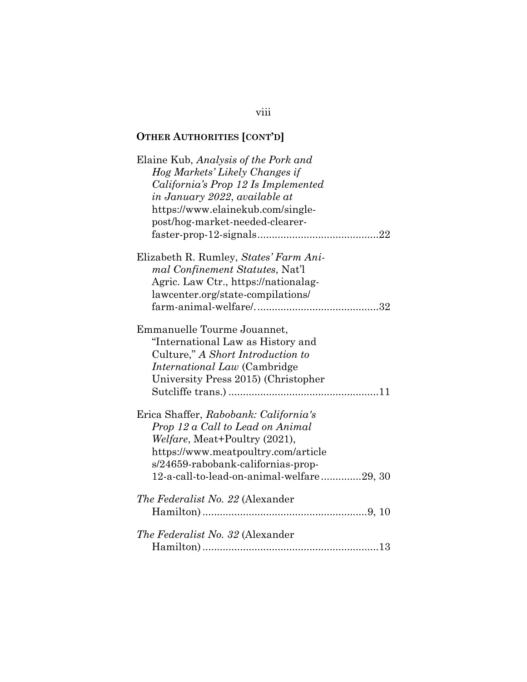| Elaine Kub, Analysis of the Pork and<br>Hog Markets' Likely Changes if<br>California's Prop 12 Is Implemented<br>in January 2022, available at<br>https://www.elainekub.com/single-<br>post/hog-market-needed-clearer-               |
|--------------------------------------------------------------------------------------------------------------------------------------------------------------------------------------------------------------------------------------|
|                                                                                                                                                                                                                                      |
| Elizabeth R. Rumley, States' Farm Ani-<br>mal Confinement Statutes, Nat'l<br>Agric. Law Ctr., https://nationalag-<br>lawcenter.org/state-compilations/                                                                               |
| Emmanuelle Tourme Jouannet,<br>"International Law as History and<br>Culture," A Short Introduction to<br><i>International Law</i> (Cambridge)<br>University Press 2015) (Christopher                                                 |
| Erica Shaffer, Rabobank: California's<br>Prop 12 a Call to Lead on Animal<br>Welfare, Meat+Poultry (2021),<br>https://www.meatpoultry.com/article<br>s/24659-rabobank-californias-prop-<br>12-a-call-to-lead-on-animal-welfare29, 30 |
| <i>The Federalist No. 22 (Alexander</i> )                                                                                                                                                                                            |
| The Federalist No. 32 (Alexander                                                                                                                                                                                                     |
|                                                                                                                                                                                                                                      |

### viii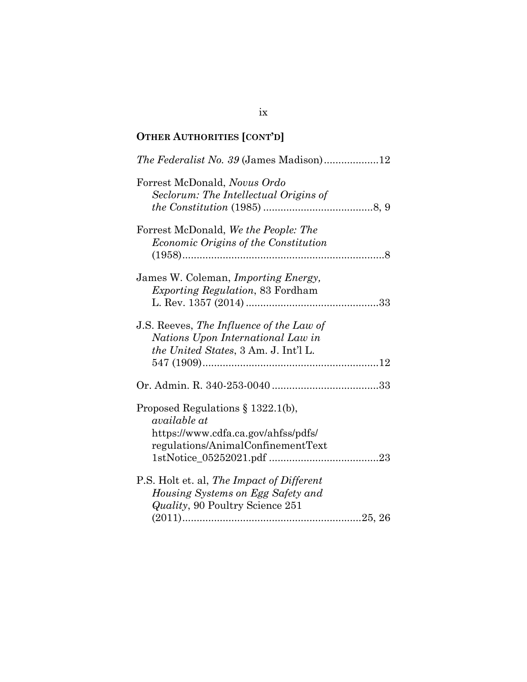| The Federalist No. 39 (James Madison)12     |
|---------------------------------------------|
| Forrest McDonald, Novus Ordo                |
| Seclorum: The Intellectual Origins of       |
|                                             |
| Forrest McDonald, We the People: The        |
| Economic Origins of the Constitution        |
|                                             |
| James W. Coleman, <i>Importing Energy</i> , |
| Exporting Regulation, 83 Fordham            |
|                                             |
|                                             |
| J.S. Reeves, The Influence of the Law of    |
| Nations Upon International Law in           |
| the United States, 3 Am. J. Int'l L.        |
|                                             |
|                                             |
|                                             |
|                                             |
| Proposed Regulations $\S 1322.1(b)$ ,       |
| available at                                |
| https://www.cdfa.ca.gov/ahfss/pdfs/         |
| regulations/AnimalConfinementText           |
|                                             |
|                                             |
| P.S. Holt et. al, The Impact of Different   |
| Housing Systems on Egg Safety and           |
| <i>Quality</i> , 90 Poultry Science 251     |
|                                             |
|                                             |

### ix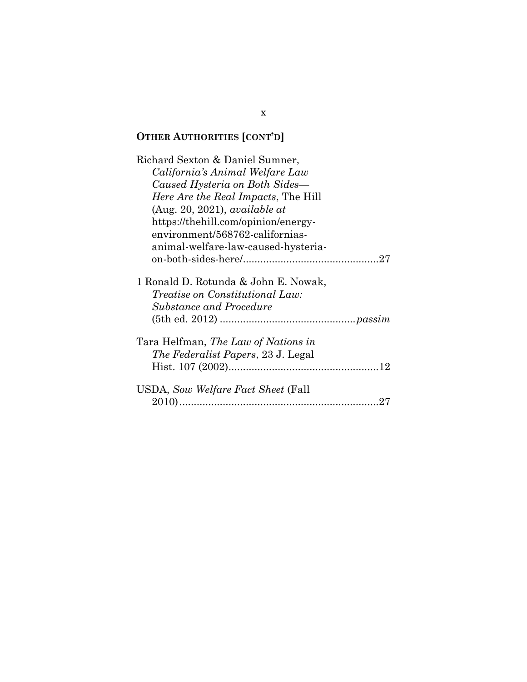| Richard Sexton & Daniel Sumner,                                                                                  |
|------------------------------------------------------------------------------------------------------------------|
| California's Animal Welfare Law                                                                                  |
| Caused Hysteria on Both Sides-                                                                                   |
| <i>Here Are the Real Impacts</i> , The Hill                                                                      |
| (Aug. 20, 2021), available at                                                                                    |
| https://thehill.com/opinion/energy-                                                                              |
| environment/568762-californias-                                                                                  |
| animal-welfare-law-caused-hysteria-                                                                              |
|                                                                                                                  |
| 1 Ronald D. Rotunda & John E. Nowak,<br><i>Treatise on Constitutional Law:</i><br><b>Substance and Procedure</b> |
| Tara Helfman, <i>The Law of Nations in</i><br><i>The Federalist Papers, 23 J. Legal</i>                          |
|                                                                                                                  |
| USDA, Sow Welfare Fact Sheet (Fall                                                                               |

x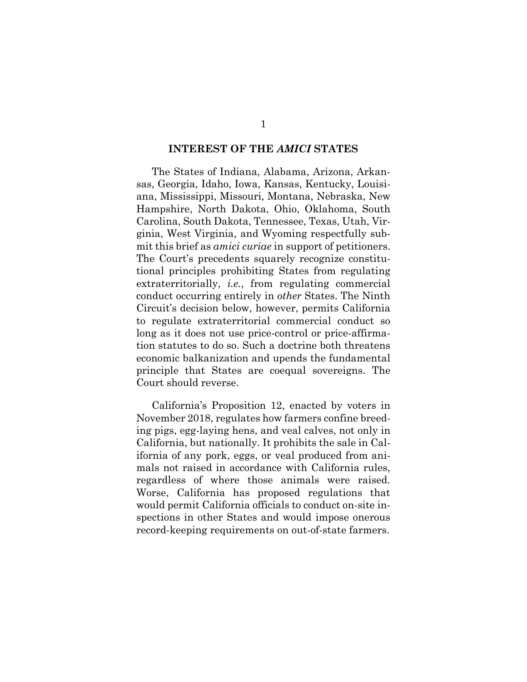#### **INTEREST OF THE** *AMICI* **STATES**

The States of Indiana, Alabama, Arizona, Arkansas, Georgia, Idaho, Iowa, Kansas, Kentucky, Louisiana, Mississippi, Missouri, Montana, Nebraska, New Hampshire, North Dakota, Ohio, Oklahoma, South Carolina, South Dakota, Tennessee, Texas, Utah, Virginia, West Virginia, and Wyoming respectfully submit this brief as *amici curiae* in support of petitioners. The Court's precedents squarely recognize constitutional principles prohibiting States from regulating extraterritorially, *i.e.*, from regulating commercial conduct occurring entirely in *other* States. The Ninth Circuit's decision below, however, permits California to regulate extraterritorial commercial conduct so long as it does not use price-control or price-affirmation statutes to do so. Such a doctrine both threatens economic balkanization and upends the fundamental principle that States are coequal sovereigns. The Court should reverse.

California's Proposition 12, enacted by voters in November 2018, regulates how farmers confine breeding pigs, egg-laying hens, and veal calves, not only in California, but nationally. It prohibits the sale in California of any pork, eggs, or veal produced from animals not raised in accordance with California rules, regardless of where those animals were raised. Worse, California has proposed regulations that would permit California officials to conduct on-site inspections in other States and would impose onerous record-keeping requirements on out-of-state farmers.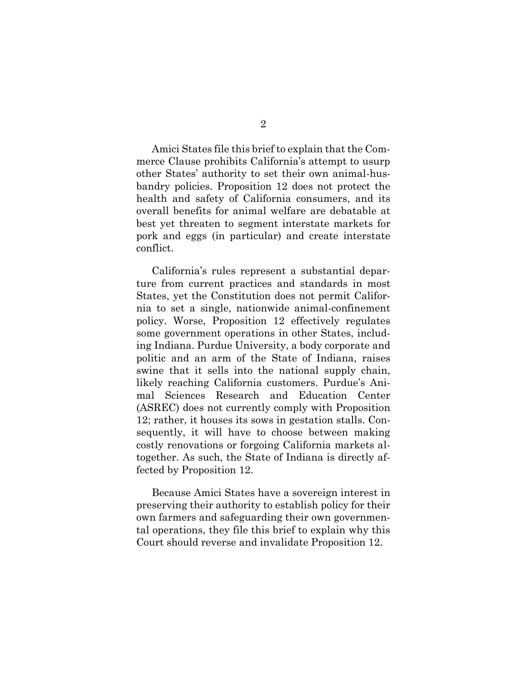Amici States file this brief to explain that the Commerce Clause prohibits California's attempt to usurp other States' authority to set their own animal-husbandry policies. Proposition 12 does not protect the health and safety of California consumers, and its overall benefits for animal welfare are debatable at best yet threaten to segment interstate markets for pork and eggs (in particular) and create interstate conflict.

California's rules represent a substantial departure from current practices and standards in most States, yet the Constitution does not permit California to set a single, nationwide animal-confinement policy. Worse, Proposition 12 effectively regulates some government operations in other States, including Indiana. Purdue University, a body corporate and politic and an arm of the State of Indiana, raises swine that it sells into the national supply chain, likely reaching California customers. Purdue's Animal Sciences Research and Education Center (ASREC) does not currently comply with Proposition 12; rather, it houses its sows in gestation stalls. Consequently, it will have to choose between making costly renovations or forgoing California markets altogether. As such, the State of Indiana is directly affected by Proposition 12.

Because Amici States have a sovereign interest in preserving their authority to establish policy for their own farmers and safeguarding their own governmental operations, they file this brief to explain why this Court should reverse and invalidate Proposition 12.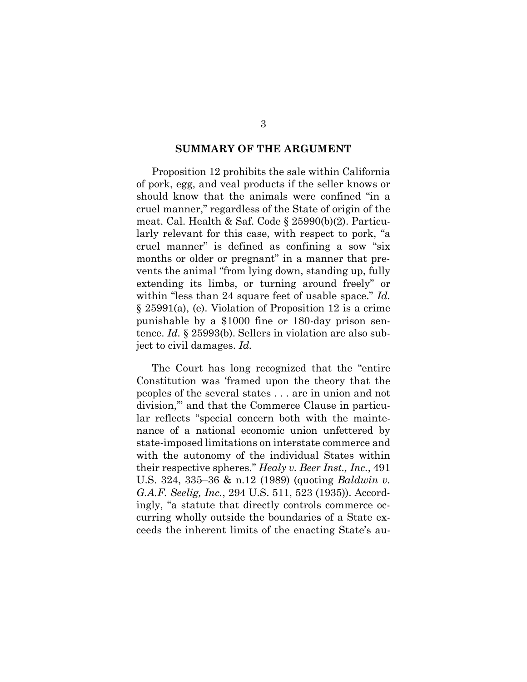#### <span id="page-13-3"></span>**SUMMARY OF THE ARGUMENT**

<span id="page-13-2"></span>Proposition 12 prohibits the sale within California of pork, egg, and veal products if the seller knows or should know that the animals were confined "in a cruel manner," regardless of the State of origin of the meat. Cal. Health & Saf. Code § 25990(b)(2). Particularly relevant for this case, with respect to pork, "a cruel manner" is defined as confining a sow "six months or older or pregnant" in a manner that prevents the animal "from lying down, standing up, fully extending its limbs, or turning around freely" or within "less than 24 square feet of usable space." *Id.* § 25991(a), (e). Violation of Proposition 12 is a crime punishable by a \$1000 fine or 180-day prison sentence. *Id.* § 25993(b). Sellers in violation are also subject to civil damages. *Id.*

<span id="page-13-4"></span><span id="page-13-1"></span><span id="page-13-0"></span>The Court has long recognized that the "entire Constitution was 'framed upon the theory that the peoples of the several states . . . are in union and not division,'" and that the Commerce Clause in particular reflects "special concern both with the maintenance of a national economic union unfettered by state-imposed limitations on interstate commerce and with the autonomy of the individual States within their respective spheres." *Healy v. Beer Inst., Inc.*, 491 U.S. 324, 335–36 & n.12 (1989) (quoting *Baldwin v. G.A.F. Seelig, Inc.*, 294 U.S. 511, 523 (1935)). Accordingly, "a statute that directly controls commerce occurring wholly outside the boundaries of a State exceeds the inherent limits of the enacting State's au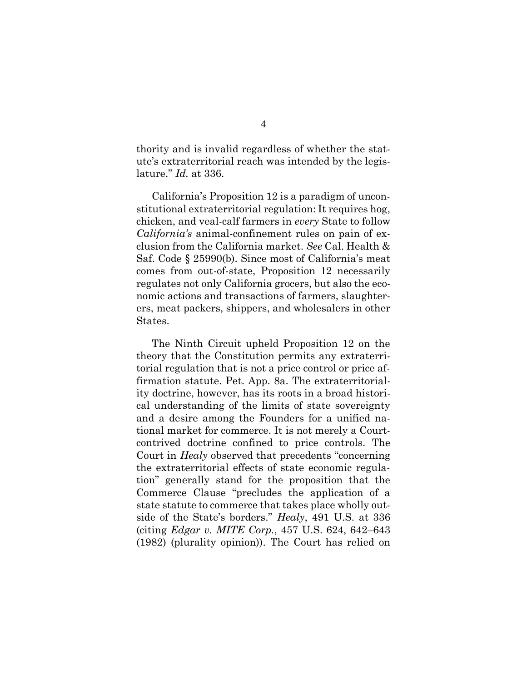thority and is invalid regardless of whether the statute's extraterritorial reach was intended by the legislature." *Id.* at 336.

<span id="page-14-1"></span>California's Proposition 12 is a paradigm of unconstitutional extraterritorial regulation: It requires hog, chicken, and veal-calf farmers in *every* State to follow *California's* animal-confinement rules on pain of exclusion from the California market. *See* Cal. Health & Saf. Code § 25990(b). Since most of California's meat comes from out-of-state, Proposition 12 necessarily regulates not only California grocers, but also the economic actions and transactions of farmers, slaughterers, meat packers, shippers, and wholesalers in other States.

<span id="page-14-0"></span>The Ninth Circuit upheld Proposition 12 on the theory that the Constitution permits any extraterritorial regulation that is not a price control or price affirmation statute. Pet. App. 8a. The extraterritoriality doctrine, however, has its roots in a broad historical understanding of the limits of state sovereignty and a desire among the Founders for a unified national market for commerce. It is not merely a Courtcontrived doctrine confined to price controls. The Court in *Healy* observed that precedents "concerning the extraterritorial effects of state economic regulation" generally stand for the proposition that the Commerce Clause "precludes the application of a state statute to commerce that takes place wholly outside of the State's borders." *Healy*, 491 U.S. at 336 (citing *Edgar v. MITE Corp.*, 457 U.S. 624, 642–643 (1982) (plurality opinion)). The Court has relied on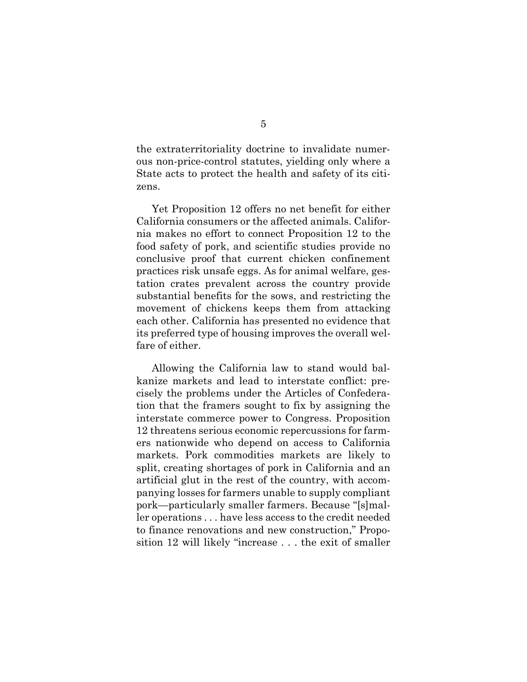the extraterritoriality doctrine to invalidate numerous non-price-control statutes, yielding only where a State acts to protect the health and safety of its citizens.

Yet Proposition 12 offers no net benefit for either California consumers or the affected animals. California makes no effort to connect Proposition 12 to the food safety of pork, and scientific studies provide no conclusive proof that current chicken confinement practices risk unsafe eggs. As for animal welfare, gestation crates prevalent across the country provide substantial benefits for the sows, and restricting the movement of chickens keeps them from attacking each other. California has presented no evidence that its preferred type of housing improves the overall welfare of either.

Allowing the California law to stand would balkanize markets and lead to interstate conflict: precisely the problems under the Articles of Confederation that the framers sought to fix by assigning the interstate commerce power to Congress. Proposition 12 threatens serious economic repercussions for farmers nationwide who depend on access to California markets. Pork commodities markets are likely to split, creating shortages of pork in California and an artificial glut in the rest of the country, with accompanying losses for farmers unable to supply compliant pork—particularly smaller farmers. Because "[s]maller operations . . . have less access to the credit needed to finance renovations and new construction," Proposition 12 will likely "increase . . . the exit of smaller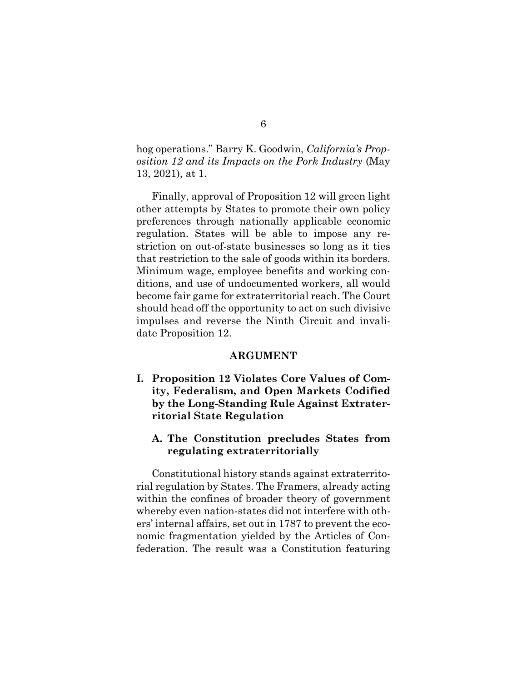<span id="page-16-0"></span>hog operations." Barry K. Goodwin, *California's Proposition 12 and its Impacts on the Pork Industry* (May 13, 2021), at 1.

Finally, approval of Proposition 12 will green light other attempts by States to promote their own policy preferences through nationally applicable economic regulation. States will be able to impose any restriction on out-of-state businesses so long as it ties that restriction to the sale of goods within its borders. Minimum wage, employee benefits and working conditions, and use of undocumented workers, all would become fair game for extraterritorial reach. The Court should head off the opportunity to act on such divisive impulses and reverse the Ninth Circuit and invalidate Proposition 12.

#### **ARGUMENT**

**I. Proposition 12 Violates Core Values of Comity, Federalism, and Open Markets Codified by the Long-Standing Rule Against Extraterritorial State Regulation** 

#### **A. The Constitution precludes States from regulating extraterritorially**

Constitutional history stands against extraterritorial regulation by States. The Framers, already acting within the confines of broader theory of government whereby even nation-states did not interfere with others' internal affairs, set out in 1787 to prevent the economic fragmentation yielded by the Articles of Confederation. The result was a Constitution featuring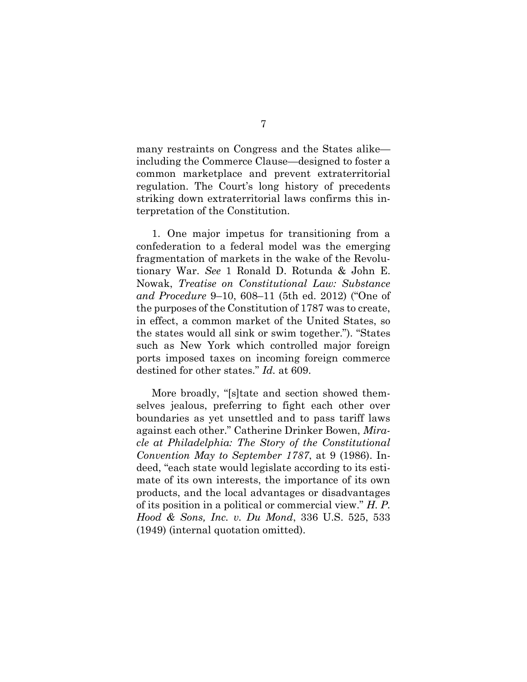many restraints on Congress and the States alike including the Commerce Clause—designed to foster a common marketplace and prevent extraterritorial regulation. The Court's long history of precedents striking down extraterritorial laws confirms this interpretation of the Constitution.

1. One major impetus for transitioning from a confederation to a federal model was the emerging fragmentation of markets in the wake of the Revolutionary War. *See* 1 Ronald D. Rotunda & John E. Nowak, *Treatise on Constitutional Law: Substance and Procedure* 9–10, 608–11 (5th ed. 2012) ("One of the purposes of the Constitution of 1787 was to create, in effect, a common market of the United States, so the states would all sink or swim together."). "States such as New York which controlled major foreign ports imposed taxes on incoming foreign commerce destined for other states." *Id.* at 609.

<span id="page-17-1"></span><span id="page-17-0"></span>More broadly, "[s]tate and section showed themselves jealous, preferring to fight each other over boundaries as yet unsettled and to pass tariff laws against each other." Catherine Drinker Bowen, *Miracle at Philadelphia: The Story of the Constitutional Convention May to September 1787*, at 9 (1986). Indeed, "each state would legislate according to its estimate of its own interests, the importance of its own products, and the local advantages or disadvantages of its position in a political or commercial view." *H. P. Hood & Sons, Inc. v. Du Mond*, 336 U.S. 525, 533 (1949) (internal quotation omitted).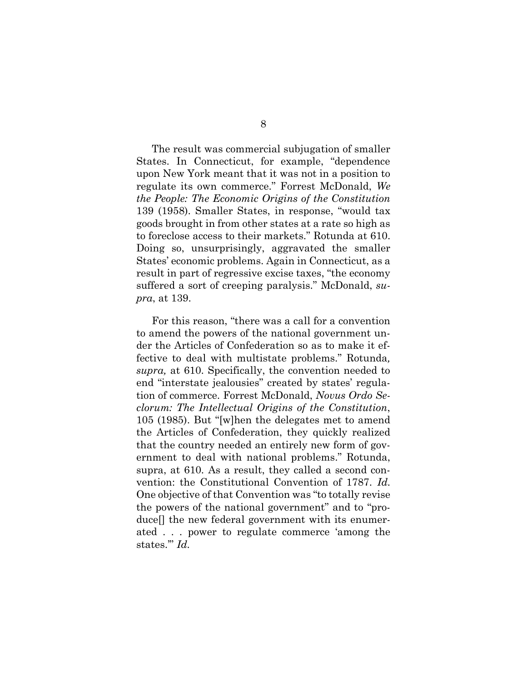<span id="page-18-2"></span>The result was commercial subjugation of smaller States. In Connecticut, for example, "dependence upon New York meant that it was not in a position to regulate its own commerce." Forrest McDonald, *We the People: The Economic Origins of the Constitution* 139 (1958). Smaller States, in response, "would tax goods brought in from other states at a rate so high as to foreclose access to their markets." Rotunda at 610. Doing so, unsurprisingly, aggravated the smaller States' economic problems. Again in Connecticut, as a result in part of regressive excise taxes, "the economy suffered a sort of creeping paralysis." McDonald, *supra*, at 139.

<span id="page-18-1"></span><span id="page-18-0"></span>For this reason, "there was a call for a convention to amend the powers of the national government under the Articles of Confederation so as to make it effective to deal with multistate problems." Rotunda*, supra,* at 610. Specifically, the convention needed to end "interstate jealousies" created by states' regulation of commerce. Forrest McDonald, *Novus Ordo Seclorum: The Intellectual Origins of the Constitution*, 105 (1985). But "[w]hen the delegates met to amend the Articles of Confederation, they quickly realized that the country needed an entirely new form of government to deal with national problems." Rotunda, supra, at 610*.* As a result, they called a second convention: the Constitutional Convention of 1787. *Id.* One objective of that Convention was "to totally revise the powers of the national government" and to "produce[] the new federal government with its enumerated . . . power to regulate commerce 'among the states.'" *Id.*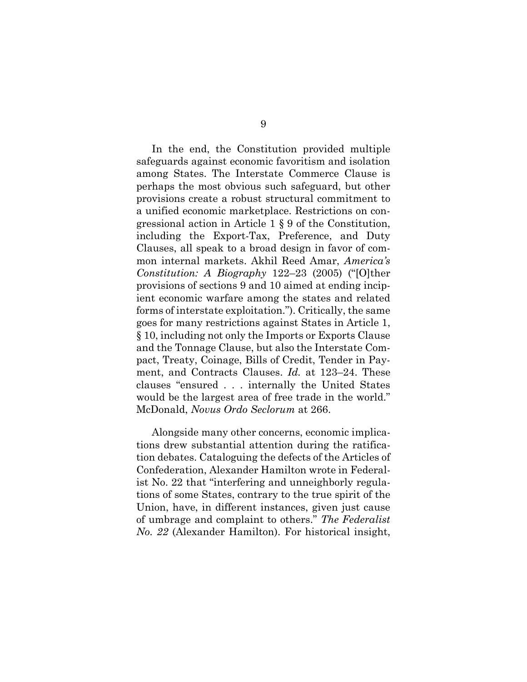<span id="page-19-0"></span>In the end, the Constitution provided multiple safeguards against economic favoritism and isolation among States. The Interstate Commerce Clause is perhaps the most obvious such safeguard, but other provisions create a robust structural commitment to a unified economic marketplace. Restrictions on congressional action in Article 1 § 9 of the Constitution, including the Export-Tax, Preference, and Duty Clauses, all speak to a broad design in favor of common internal markets. Akhil Reed Amar, *America's Constitution: A Biography* 122–23 (2005) ("[O]ther provisions of sections 9 and 10 aimed at ending incipient economic warfare among the states and related forms of interstate exploitation."). Critically, the same goes for many restrictions against States in Article 1, § 10, including not only the Imports or Exports Clause and the Tonnage Clause, but also the Interstate Compact, Treaty, Coinage, Bills of Credit, Tender in Payment, and Contracts Clauses. *Id.* at 123–24. These clauses "ensured . . . internally the United States would be the largest area of free trade in the world." McDonald, *Novus Ordo Seclorum* at 266.

<span id="page-19-1"></span>Alongside many other concerns, economic implications drew substantial attention during the ratification debates. Cataloguing the defects of the Articles of Confederation, Alexander Hamilton wrote in Federalist No. 22 that "interfering and unneighborly regulations of some States, contrary to the true spirit of the Union, have, in different instances, given just cause of umbrage and complaint to others." *The Federalist No. 22* (Alexander Hamilton). For historical insight,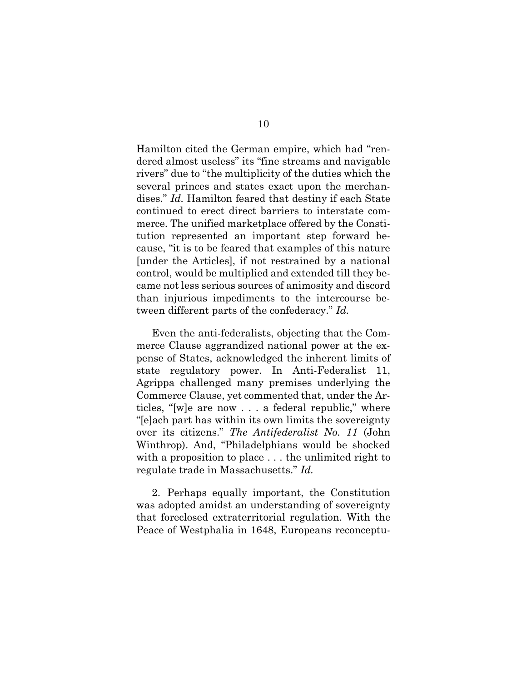Hamilton cited the German empire, which had "rendered almost useless" its "fine streams and navigable rivers" due to "the multiplicity of the duties which the several princes and states exact upon the merchandises." *Id.* Hamilton feared that destiny if each State continued to erect direct barriers to interstate commerce. The unified marketplace offered by the Constitution represented an important step forward because, "it is to be feared that examples of this nature [under the Articles], if not restrained by a national control, would be multiplied and extended till they became not less serious sources of animosity and discord than injurious impediments to the intercourse between different parts of the confederacy." *Id.*

Even the anti-federalists, objecting that the Commerce Clause aggrandized national power at the expense of States, acknowledged the inherent limits of state regulatory power. In Anti-Federalist 11, Agrippa challenged many premises underlying the Commerce Clause, yet commented that, under the Articles, "[w]e are now . . . a federal republic," where "[e]ach part has within its own limits the sovereignty over its citizens." *The Antifederalist No. 11* (John Winthrop). And, "Philadelphians would be shocked with a proposition to place . . . the unlimited right to regulate trade in Massachusetts." *Id.*

<span id="page-20-0"></span>2. Perhaps equally important, the Constitution was adopted amidst an understanding of sovereignty that foreclosed extraterritorial regulation. With the Peace of Westphalia in 1648, Europeans reconceptu-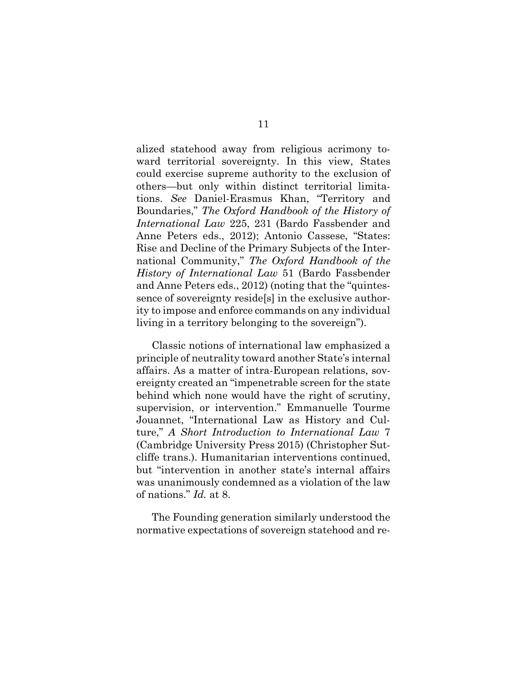<span id="page-21-1"></span><span id="page-21-0"></span>alized statehood away from religious acrimony toward territorial sovereignty. In this view, States could exercise supreme authority to the exclusion of others—but only within distinct territorial limitations. *See* Daniel-Erasmus Khan, "Territory and Boundaries," *The Oxford Handbook of the History of International Law* 225, 231 (Bardo Fassbender and Anne Peters eds., 2012); Antonio Cassese, "States: Rise and Decline of the Primary Subjects of the International Community," *The Oxford Handbook of the History of International Law* 51 (Bardo Fassbender and Anne Peters eds., 2012) (noting that the "quintessence of sovereignty reside[s] in the exclusive authority to impose and enforce commands on any individual living in a territory belonging to the sovereign").

<span id="page-21-2"></span>Classic notions of international law emphasized a principle of neutrality toward another State's internal affairs. As a matter of intra-European relations, sovereignty created an "impenetrable screen for the state behind which none would have the right of scrutiny, supervision, or intervention." Emmanuelle Tourme Jouannet, "International Law as History and Culture," *A Short Introduction to International Law* 7 (Cambridge University Press 2015) (Christopher Sutcliffe trans.). Humanitarian interventions continued, but "intervention in another state's internal affairs was unanimously condemned as a violation of the law of nations." *Id.* at 8.

The Founding generation similarly understood the normative expectations of sovereign statehood and re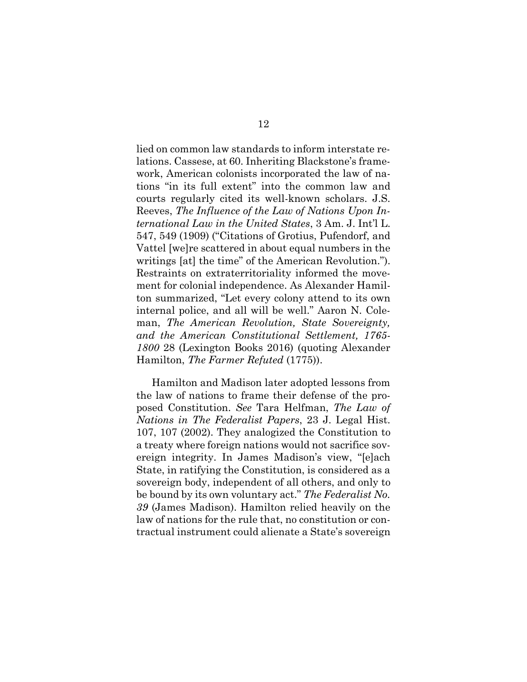<span id="page-22-4"></span><span id="page-22-2"></span>lied on common law standards to inform interstate relations. Cassese, at 60. Inheriting Blackstone's framework, American colonists incorporated the law of nations "in its full extent" into the common law and courts regularly cited its well-known scholars. J.S. Reeves, *The Influence of the Law of Nations Upon International Law in the United States*, 3 Am. J. Int'l L. 547, 549 (1909) ("Citations of Grotius, Pufendorf, and Vattel [we]re scattered in about equal numbers in the writings [at] the time" of the American Revolution."). Restraints on extraterritoriality informed the movement for colonial independence. As Alexander Hamilton summarized, "Let every colony attend to its own internal police, and all will be well." Aaron N. Coleman, *The American Revolution, State Sovereignty, and the American Constitutional Settlement, 1765- 1800* 28 (Lexington Books 2016) (quoting Alexander Hamilton, *The Farmer Refuted* (1775)).

<span id="page-22-5"></span><span id="page-22-3"></span><span id="page-22-1"></span><span id="page-22-0"></span>Hamilton and Madison later adopted lessons from the law of nations to frame their defense of the proposed Constitution. *See* Tara Helfman, *The Law of Nations in The Federalist Papers*, 23 J. Legal Hist. 107, 107 (2002). They analogized the Constitution to a treaty where foreign nations would not sacrifice sovereign integrity. In James Madison's view, "[e]ach State, in ratifying the Constitution, is considered as a sovereign body, independent of all others, and only to be bound by its own voluntary act." *The Federalist No. 39* (James Madison). Hamilton relied heavily on the law of nations for the rule that, no constitution or contractual instrument could alienate a State's sovereign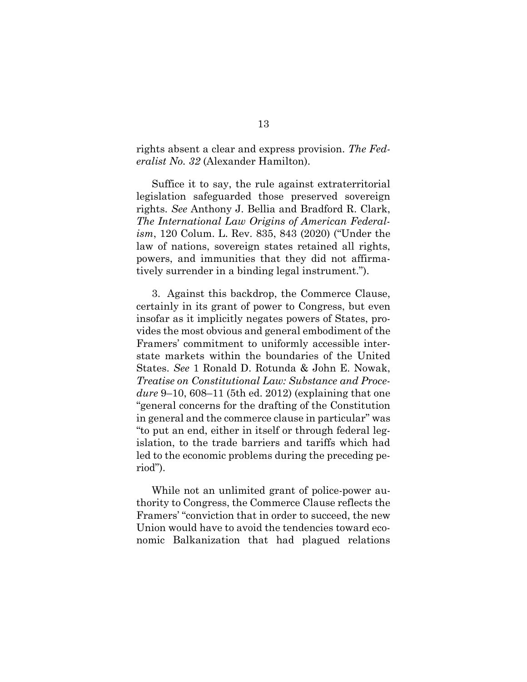<span id="page-23-1"></span>rights absent a clear and express provision. *The Federalist No. 32* (Alexander Hamilton).

<span id="page-23-0"></span>Suffice it to say, the rule against extraterritorial legislation safeguarded those preserved sovereign rights. *See* Anthony J. Bellia and Bradford R. Clark, *The International Law Origins of American Federalism*, 120 Colum. L. Rev. 835, 843 (2020) ("Under the law of nations, sovereign states retained all rights, powers, and immunities that they did not affirmatively surrender in a binding legal instrument.").

3. Against this backdrop, the Commerce Clause, certainly in its grant of power to Congress, but even insofar as it implicitly negates powers of States, provides the most obvious and general embodiment of the Framers' commitment to uniformly accessible interstate markets within the boundaries of the United States. *See* 1 Ronald D. Rotunda & John E. Nowak, *Treatise on Constitutional Law: Substance and Procedure* 9–10, 608–11 (5th ed. 2012) (explaining that one "general concerns for the drafting of the Constitution in general and the commerce clause in particular" was "to put an end, either in itself or through federal legislation, to the trade barriers and tariffs which had led to the economic problems during the preceding period").

While not an unlimited grant of police-power authority to Congress, the Commerce Clause reflects the Framers' "conviction that in order to succeed, the new Union would have to avoid the tendencies toward economic Balkanization that had plagued relations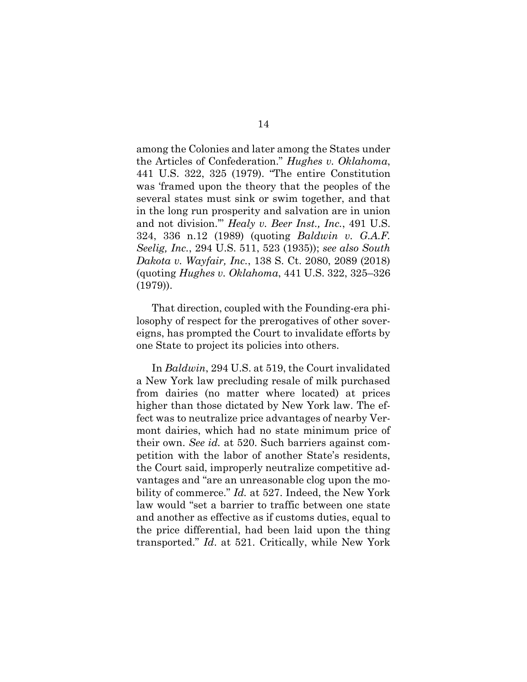<span id="page-24-0"></span>among the Colonies and later among the States under the Articles of Confederation." *Hughes v. Oklahoma*, 441 U.S. 322, 325 (1979). "The entire Constitution was 'framed upon the theory that the peoples of the several states must sink or swim together, and that in the long run prosperity and salvation are in union and not division.'" *Healy v. Beer Inst., Inc.*, 491 U.S. 324, 336 n.12 (1989) (quoting *Baldwin v. G.A.F. Seelig, Inc.*, 294 U.S. 511, 523 (1935)); *see also South Dakota v. Wayfair, Inc.*, 138 S. Ct. 2080, 2089 (2018) (quoting *Hughes v. Oklahoma*, 441 U.S. 322, 325–326 (1979)).

<span id="page-24-1"></span>That direction, coupled with the Founding-era philosophy of respect for the prerogatives of other sovereigns, has prompted the Court to invalidate efforts by one State to project its policies into others.

In *Baldwin*, 294 U.S. at 519, the Court invalidated a New York law precluding resale of milk purchased from dairies (no matter where located) at prices higher than those dictated by New York law. The effect was to neutralize price advantages of nearby Vermont dairies, which had no state minimum price of their own. *See id.* at 520. Such barriers against competition with the labor of another State's residents, the Court said, improperly neutralize competitive advantages and "are an unreasonable clog upon the mobility of commerce." *Id.* at 527. Indeed, the New York law would "set a barrier to traffic between one state and another as effective as if customs duties, equal to the price differential, had been laid upon the thing transported." *Id*. at 521. Critically, while New York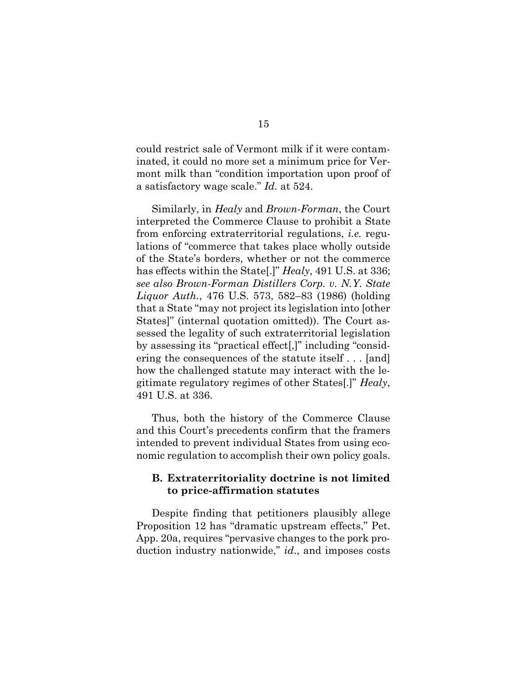could restrict sale of Vermont milk if it were contaminated, it could no more set a minimum price for Vermont milk than "condition importation upon proof of a satisfactory wage scale." *Id.* at 524.

<span id="page-25-0"></span>Similarly, in *Healy* and *Brown-Forman*, the Court interpreted the Commerce Clause to prohibit a State from enforcing extraterritorial regulations, *i.e.* regulations of "commerce that takes place wholly outside of the State's borders, whether or not the commerce has effects within the State[.]" *Healy*, 491 U.S. at 336; *see also Brown-Forman Distillers Corp. v. N.Y. State Liquor Auth.*, 476 U.S. 573, 582–83 (1986) (holding that a State "may not project its legislation into [other States]" (internal quotation omitted)). The Court assessed the legality of such extraterritorial legislation by assessing its "practical effect[,]" including "considering the consequences of the statute itself . . . [and] how the challenged statute may interact with the legitimate regulatory regimes of other States[.]" *Healy*, 491 U.S. at 336.

Thus, both the history of the Commerce Clause and this Court's precedents confirm that the framers intended to prevent individual States from using economic regulation to accomplish their own policy goals.

#### **B. Extraterritoriality doctrine is not limited to price-affirmation statutes**

Despite finding that petitioners plausibly allege Proposition 12 has "dramatic upstream effects," Pet. App. 20a, requires "pervasive changes to the pork production industry nationwide," *id*., and imposes costs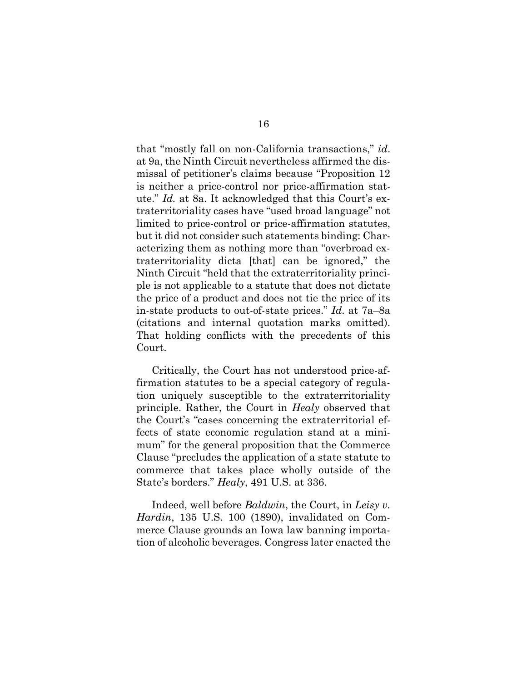that "mostly fall on non-California transactions," *id*. at 9a, the Ninth Circuit nevertheless affirmed the dismissal of petitioner's claims because "Proposition 12 is neither a price-control nor price-affirmation statute." *Id.* at 8a. It acknowledged that this Court's extraterritoriality cases have "used broad language" not limited to price-control or price-affirmation statutes, but it did not consider such statements binding: Characterizing them as nothing more than "overbroad extraterritoriality dicta [that] can be ignored," the Ninth Circuit "held that the extraterritoriality principle is not applicable to a statute that does not dictate the price of a product and does not tie the price of its in-state products to out-of-state prices." *Id*. at 7a–8a (citations and internal quotation marks omitted). That holding conflicts with the precedents of this Court.

Critically, the Court has not understood price-affirmation statutes to be a special category of regulation uniquely susceptible to the extraterritoriality principle. Rather, the Court in *Healy* observed that the Court's "cases concerning the extraterritorial effects of state economic regulation stand at a minimum" for the general proposition that the Commerce Clause "precludes the application of a state statute to commerce that takes place wholly outside of the State's borders." *Healy*, 491 U.S. at 336.

<span id="page-26-0"></span>Indeed, well before *Baldwin*, the Court, in *Leisy v. Hardin*, 135 U.S. 100 (1890), invalidated on Commerce Clause grounds an Iowa law banning importation of alcoholic beverages. Congress later enacted the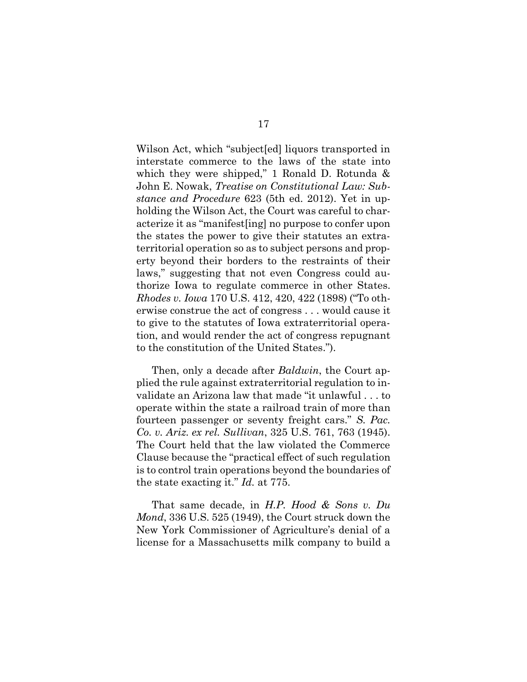Wilson Act, which "subject[ed] liquors transported in interstate commerce to the laws of the state into which they were shipped," 1 Ronald D. Rotunda & John E. Nowak, *Treatise on Constitutional Law: Substance and Procedure* 623 (5th ed. 2012). Yet in upholding the Wilson Act, the Court was careful to characterize it as "manifest[ing] no purpose to confer upon the states the power to give their statutes an extraterritorial operation so as to subject persons and property beyond their borders to the restraints of their laws," suggesting that not even Congress could authorize Iowa to regulate commerce in other States. *Rhodes v. Iowa* 170 U.S. 412, 420, 422 (1898) ("To otherwise construe the act of congress . . . would cause it to give to the statutes of Iowa extraterritorial operation, and would render the act of congress repugnant to the constitution of the United States.").

<span id="page-27-2"></span><span id="page-27-1"></span>Then, only a decade after *Baldwin*, the Court applied the rule against extraterritorial regulation to invalidate an Arizona law that made "it unlawful . . . to operate within the state a railroad train of more than fourteen passenger or seventy freight cars." *S. Pac. Co. v. Ariz. ex rel. Sullivan*, 325 U.S. 761, 763 (1945). The Court held that the law violated the Commerce Clause because the "practical effect of such regulation is to control train operations beyond the boundaries of the state exacting it." *Id.* at 775.

<span id="page-27-0"></span>That same decade, in *H.P. Hood & Sons v. Du Mond*, 336 U.S. 525 (1949), the Court struck down the New York Commissioner of Agriculture's denial of a license for a Massachusetts milk company to build a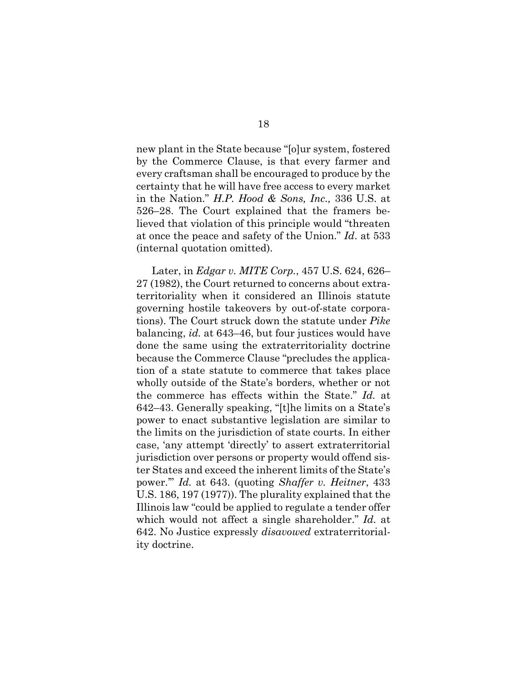new plant in the State because "[o]ur system, fostered by the Commerce Clause, is that every farmer and every craftsman shall be encouraged to produce by the certainty that he will have free access to every market in the Nation." *H.P. Hood & Sons, Inc.,* 336 U.S. at 526–28. The Court explained that the framers believed that violation of this principle would "threaten at once the peace and safety of the Union." *Id*. at 533 (internal quotation omitted).

<span id="page-28-1"></span><span id="page-28-0"></span>Later, in *Edgar v. MITE Corp.*, 457 U.S. 624, 626– 27 (1982), the Court returned to concerns about extraterritoriality when it considered an Illinois statute governing hostile takeovers by out-of-state corporations). The Court struck down the statute under *Pike* balancing, *id.* at 643–46, but four justices would have done the same using the extraterritoriality doctrine because the Commerce Clause "precludes the application of a state statute to commerce that takes place wholly outside of the State's borders, whether or not the commerce has effects within the State." *Id.* at 642–43. Generally speaking, "[t]he limits on a State's power to enact substantive legislation are similar to the limits on the jurisdiction of state courts. In either case, 'any attempt 'directly' to assert extraterritorial jurisdiction over persons or property would offend sister States and exceed the inherent limits of the State's power.'" *Id.* at 643. (quoting *Shaffer v. Heitner*, 433 U.S. 186, 197 (1977)). The plurality explained that the Illinois law "could be applied to regulate a tender offer which would not affect a single shareholder." *Id.* at 642. No Justice expressly *disavowed* extraterritoriality doctrine.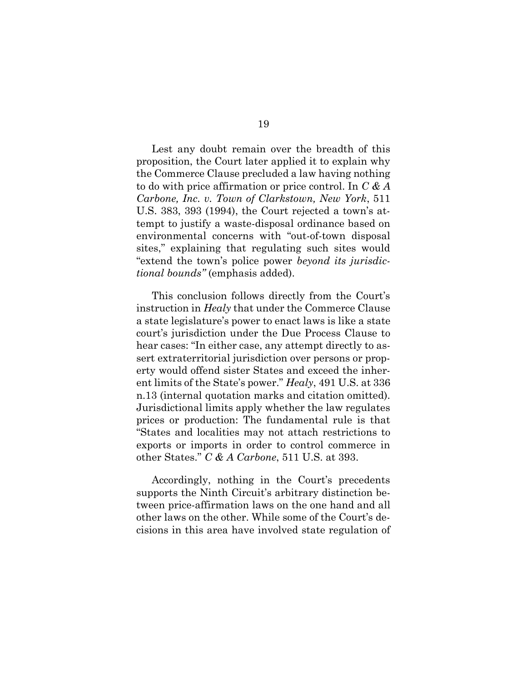<span id="page-29-0"></span>Lest any doubt remain over the breadth of this proposition, the Court later applied it to explain why the Commerce Clause precluded a law having nothing to do with price affirmation or price control. In *C & A Carbone, Inc. v. Town of Clarkstown, New York*, 511 U.S. 383, 393 (1994), the Court rejected a town's attempt to justify a waste-disposal ordinance based on environmental concerns with "out-of-town disposal sites," explaining that regulating such sites would "extend the town's police power *beyond its jurisdictional bounds"* (emphasis added).

This conclusion follows directly from the Court's instruction in *Healy* that under the Commerce Clause a state legislature's power to enact laws is like a state court's jurisdiction under the Due Process Clause to hear cases: "In either case, any attempt directly to assert extraterritorial jurisdiction over persons or property would offend sister States and exceed the inherent limits of the State's power." *Healy*, 491 U.S. at 336 n.13 (internal quotation marks and citation omitted). Jurisdictional limits apply whether the law regulates prices or production: The fundamental rule is that "States and localities may not attach restrictions to exports or imports in order to control commerce in other States." *C & A Carbone*, 511 U.S. at 393.

Accordingly, nothing in the Court's precedents supports the Ninth Circuit's arbitrary distinction between price-affirmation laws on the one hand and all other laws on the other. While some of the Court's decisions in this area have involved state regulation of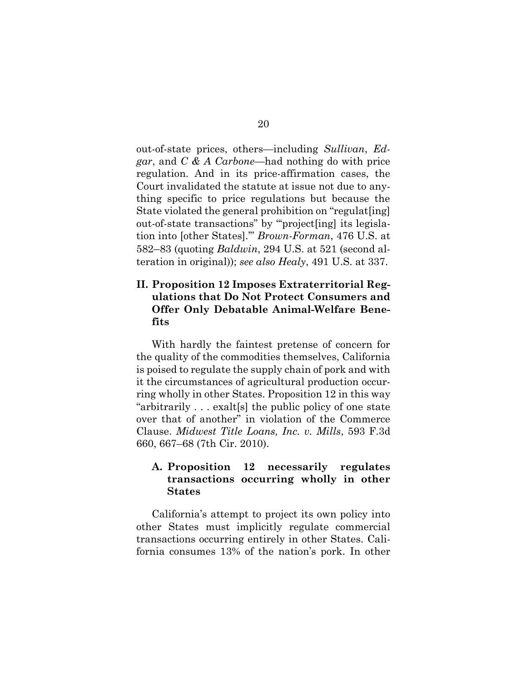out-of-state prices, others—including *Sullivan*, *Edgar*, and *C & A Carbone*—had nothing do with price regulation. And in its price-affirmation cases, the Court invalidated the statute at issue not due to anything specific to price regulations but because the State violated the general prohibition on "regulat[ing] out-of-state transactions" by "'project[ing] its legislation into [other States].'" *Brown-Forman*, 476 U.S. at 582–83 (quoting *Baldwin*, 294 U.S. at 521 (second alteration in original)); *see also Healy*, 491 U.S. at 337.

### <span id="page-30-0"></span>**II. Proposition 12 Imposes Extraterritorial Regulations that Do Not Protect Consumers and Offer Only Debatable Animal-Welfare Benefits**

With hardly the faintest pretense of concern for the quality of the commodities themselves, California is poised to regulate the supply chain of pork and with it the circumstances of agricultural production occurring wholly in other States. Proposition 12 in this way "arbitrarily . . . exalt[s] the public policy of one state over that of another" in violation of the Commerce Clause. *Midwest Title Loans, Inc. v. Mills*, 593 F.3d 660, 667–68 (7th Cir. 2010).

#### <span id="page-30-1"></span>**A. Proposition 12 necessarily regulates transactions occurring wholly in other States**

California's attempt to project its own policy into other States must implicitly regulate commercial transactions occurring entirely in other States. California consumes 13% of the nation's pork. In other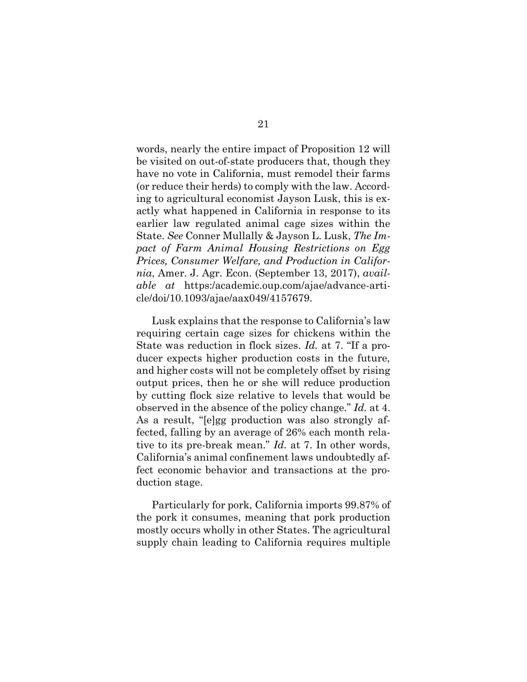<span id="page-31-0"></span>words, nearly the entire impact of Proposition 12 will be visited on out-of-state producers that, though they have no vote in California, must remodel their farms (or reduce their herds) to comply with the law. According to agricultural economist Jayson Lusk, this is exactly what happened in California in response to its earlier law regulated animal cage sizes within the State. *See* Conner Mullally & Jayson L. Lusk, *The Impact of Farm Animal Housing Restrictions on Egg Prices, Consumer Welfare, and Production in California*, Amer. J. Agr. Econ. (September 13, 2017), *available at* https:/academic.oup.com/ajae/advance-article/doi/10.1093/ajae/aax049/4157679.

Lusk explains that the response to California's law requiring certain cage sizes for chickens within the State was reduction in flock sizes. *Id.* at 7. "If a producer expects higher production costs in the future, and higher costs will not be completely offset by rising output prices, then he or she will reduce production by cutting flock size relative to levels that would be observed in the absence of the policy change." *Id.* at 4. As a result, "[e]gg production was also strongly affected, falling by an average of 26% each month relative to its pre-break mean." *Id.* at 7. In other words, California's animal confinement laws undoubtedly affect economic behavior and transactions at the production stage.

Particularly for pork, California imports 99.87% of the pork it consumes, meaning that pork production mostly occurs wholly in other States. The agricultural supply chain leading to California requires multiple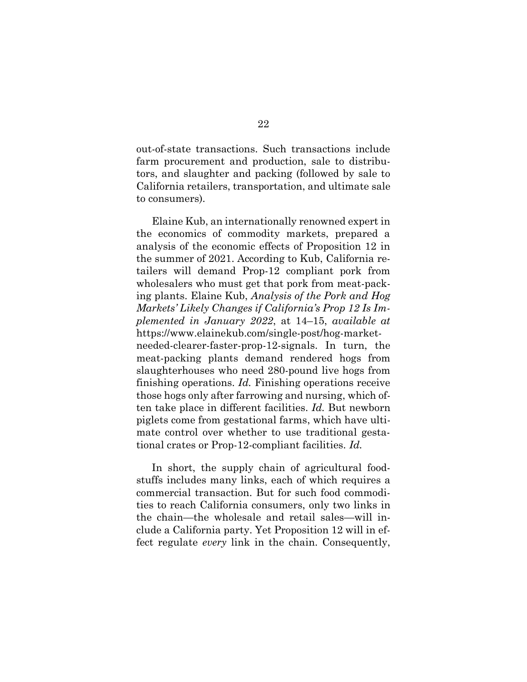out-of-state transactions. Such transactions include farm procurement and production, sale to distributors, and slaughter and packing (followed by sale to California retailers, transportation, and ultimate sale to consumers).

<span id="page-32-0"></span>Elaine Kub, an internationally renowned expert in the economics of commodity markets, prepared a analysis of the economic effects of Proposition 12 in the summer of 2021. According to Kub, California retailers will demand Prop-12 compliant pork from wholesalers who must get that pork from meat-packing plants. Elaine Kub, *Analysis of the Pork and Hog Markets' Likely Changes if California's Prop 12 Is Implemented in January 2022*, at 14–15, *available at* https://www.elainekub.com/single-post/hog-marketneeded-clearer-faster-prop-12-signals. In turn, the meat-packing plants demand rendered hogs from slaughterhouses who need 280-pound live hogs from finishing operations. *Id.* Finishing operations receive those hogs only after farrowing and nursing, which often take place in different facilities. *Id.* But newborn piglets come from gestational farms, which have ultimate control over whether to use traditional gestational crates or Prop-12-compliant facilities. *Id.*

In short, the supply chain of agricultural foodstuffs includes many links, each of which requires a commercial transaction. But for such food commodities to reach California consumers, only two links in the chain—the wholesale and retail sales—will include a California party. Yet Proposition 12 will in effect regulate *every* link in the chain. Consequently,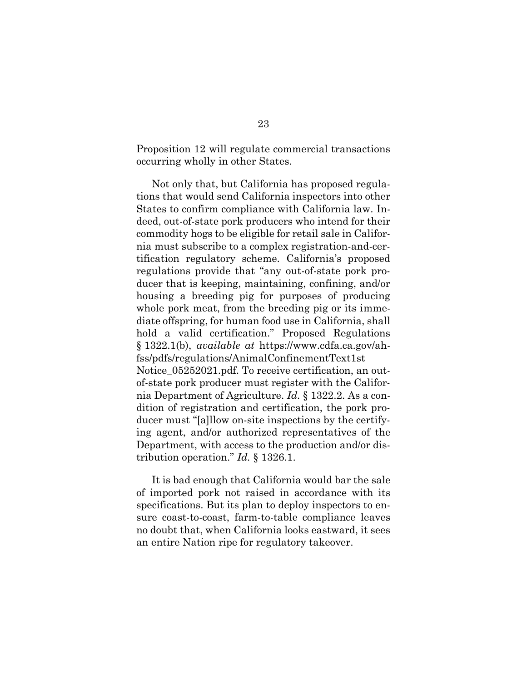Proposition 12 will regulate commercial transactions occurring wholly in other States.

<span id="page-33-0"></span>Not only that, but California has proposed regulations that would send California inspectors into other States to confirm compliance with California law. Indeed, out-of-state pork producers who intend for their commodity hogs to be eligible for retail sale in California must subscribe to a complex registration-and-certification regulatory scheme. California's proposed regulations provide that "any out-of-state pork producer that is keeping, maintaining, confining, and/or housing a breeding pig for purposes of producing whole pork meat, from the breeding pig or its immediate offspring, for human food use in California, shall hold a valid certification." Proposed Regulations § 1322.1(b), *available at* https://www.cdfa.ca.gov/ahfss/pdfs/regulations/AnimalConfinementText1st Notice  $05252021$ .pdf. To receive certification, an outof-state pork producer must register with the California Department of Agriculture. *Id.* § 1322.2. As a condition of registration and certification, the pork producer must "[a]llow on-site inspections by the certifying agent, and/or authorized representatives of the Department, with access to the production and/or distribution operation." *Id.* § 1326.1.

It is bad enough that California would bar the sale of imported pork not raised in accordance with its specifications. But its plan to deploy inspectors to ensure coast-to-coast, farm-to-table compliance leaves no doubt that, when California looks eastward, it sees an entire Nation ripe for regulatory takeover.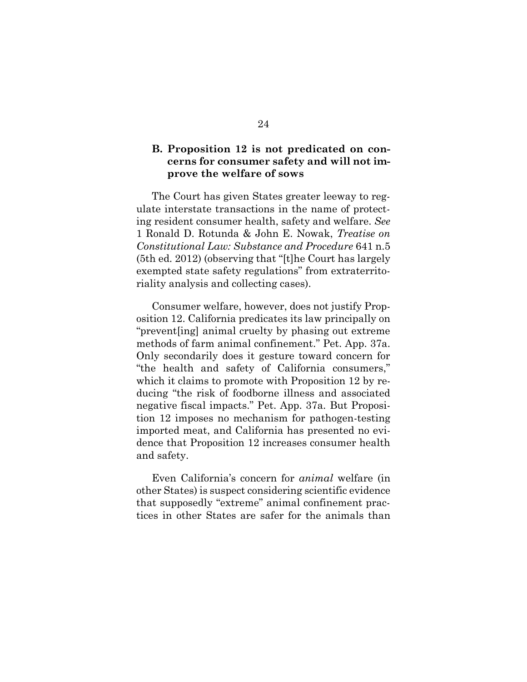#### **B. Proposition 12 is not predicated on concerns for consumer safety and will not improve the welfare of sows**

The Court has given States greater leeway to regulate interstate transactions in the name of protecting resident consumer health, safety and welfare. *See* 1 Ronald D. Rotunda & John E. Nowak, *Treatise on Constitutional Law: Substance and Procedure* 641 n.5 (5th ed. 2012) (observing that "[t]he Court has largely exempted state safety regulations" from extraterritoriality analysis and collecting cases).

Consumer welfare, however, does not justify Proposition 12. California predicates its law principally on "prevent[ing] animal cruelty by phasing out extreme methods of farm animal confinement." Pet. App. 37a. Only secondarily does it gesture toward concern for "the health and safety of California consumers," which it claims to promote with Proposition 12 by reducing "the risk of foodborne illness and associated negative fiscal impacts." Pet. App. 37a. But Proposition 12 imposes no mechanism for pathogen-testing imported meat, and California has presented no evidence that Proposition 12 increases consumer health and safety.

Even California's concern for *animal* welfare (in other States) is suspect considering scientific evidence that supposedly "extreme" animal confinement practices in other States are safer for the animals than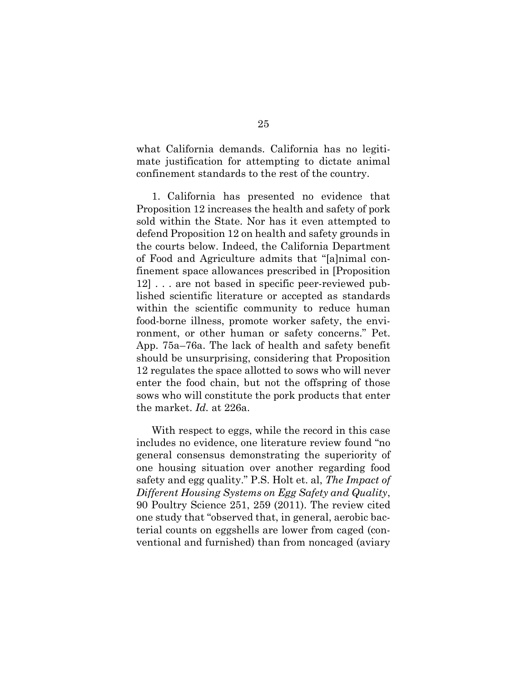what California demands. California has no legitimate justification for attempting to dictate animal confinement standards to the rest of the country.

1. California has presented no evidence that Proposition 12 increases the health and safety of pork sold within the State. Nor has it even attempted to defend Proposition 12 on health and safety grounds in the courts below. Indeed, the California Department of Food and Agriculture admits that "[a]nimal confinement space allowances prescribed in [Proposition 12] . . . are not based in specific peer-reviewed published scientific literature or accepted as standards within the scientific community to reduce human food-borne illness, promote worker safety, the environment, or other human or safety concerns." Pet. App. 75a–76a. The lack of health and safety benefit should be unsurprising, considering that Proposition 12 regulates the space allotted to sows who will never enter the food chain, but not the offspring of those sows who will constitute the pork products that enter the market. *Id.* at 226a.

<span id="page-35-0"></span>With respect to eggs, while the record in this case includes no evidence, one literature review found "no general consensus demonstrating the superiority of one housing situation over another regarding food safety and egg quality." P.S. Holt et. al, *The Impact of Different Housing Systems on Egg Safety and Quality*, 90 Poultry Science 251, 259 (2011). The review cited one study that "observed that, in general, aerobic bacterial counts on eggshells are lower from caged (conventional and furnished) than from noncaged (aviary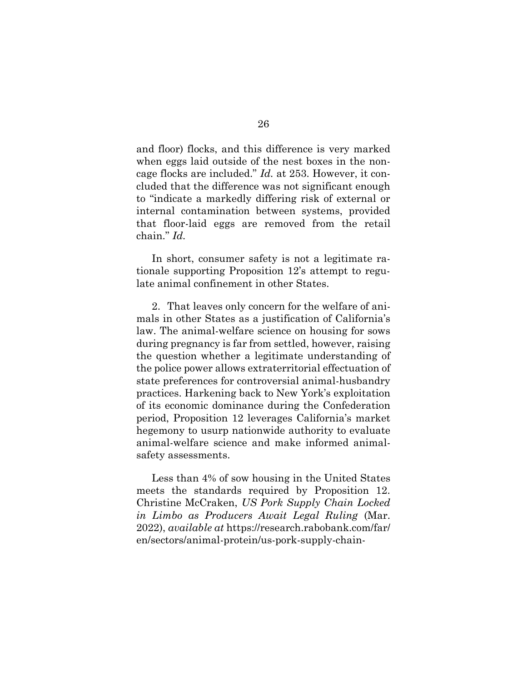<span id="page-36-1"></span>and floor) flocks, and this difference is very marked when eggs laid outside of the nest boxes in the noncage flocks are included." *Id.* at 253. However, it concluded that the difference was not significant enough to "indicate a markedly differing risk of external or internal contamination between systems, provided that floor-laid eggs are removed from the retail chain." *Id.*

In short, consumer safety is not a legitimate rationale supporting Proposition 12's attempt to regulate animal confinement in other States.

2. That leaves only concern for the welfare of animals in other States as a justification of California's law. The animal-welfare science on housing for sows during pregnancy is far from settled, however, raising the question whether a legitimate understanding of the police power allows extraterritorial effectuation of state preferences for controversial animal-husbandry practices. Harkening back to New York's exploitation of its economic dominance during the Confederation period, Proposition 12 leverages California's market hegemony to usurp nationwide authority to evaluate animal-welfare science and make informed animalsafety assessments.

<span id="page-36-0"></span>Less than 4% of sow housing in the United States meets the standards required by Proposition 12. Christine McCraken, *US Pork Supply Chain Locked in Limbo as Producers Await Legal Ruling* (Mar. 2022), *available at* https://research.rabobank.com/far/ en/sectors/animal-protein/us-pork-supply-chain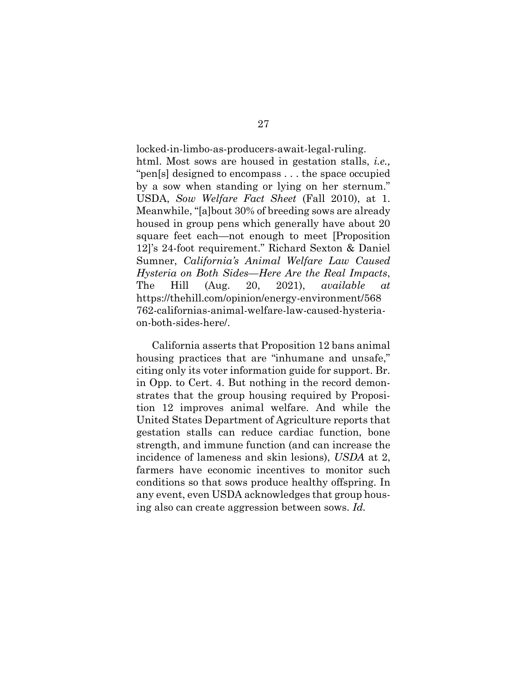<span id="page-37-1"></span><span id="page-37-0"></span>locked-in-limbo-as-producers-await-legal-ruling. html. Most sows are housed in gestation stalls, *i.e.,*  "pen[s] designed to encompass . . . the space occupied by a sow when standing or lying on her sternum." USDA, *Sow Welfare Fact Sheet* (Fall 2010), at 1. Meanwhile, "[a]bout 30% of breeding sows are already housed in group pens which generally have about 20 square feet each—not enough to meet [Proposition 12]'s 24-foot requirement." Richard Sexton & Daniel Sumner, *California's Animal Welfare Law Caused Hysteria on Both Sides—Here Are the Real Impacts*, The Hill (Aug. 20, 2021), *available at*  https://thehill.com/opinion/energy-environment/568 762-californias-animal-welfare-law-caused-hysteriaon-both-sides-here/.

California asserts that Proposition 12 bans animal housing practices that are "inhumane and unsafe," citing only its voter information guide for support. Br. in Opp. to Cert. 4. But nothing in the record demonstrates that the group housing required by Proposition 12 improves animal welfare. And while the United States Department of Agriculture reports that gestation stalls can reduce cardiac function, bone strength, and immune function (and can increase the incidence of lameness and skin lesions), *USDA* at 2, farmers have economic incentives to monitor such conditions so that sows produce healthy offspring. In any event, even USDA acknowledges that group housing also can create aggression between sows. *Id.*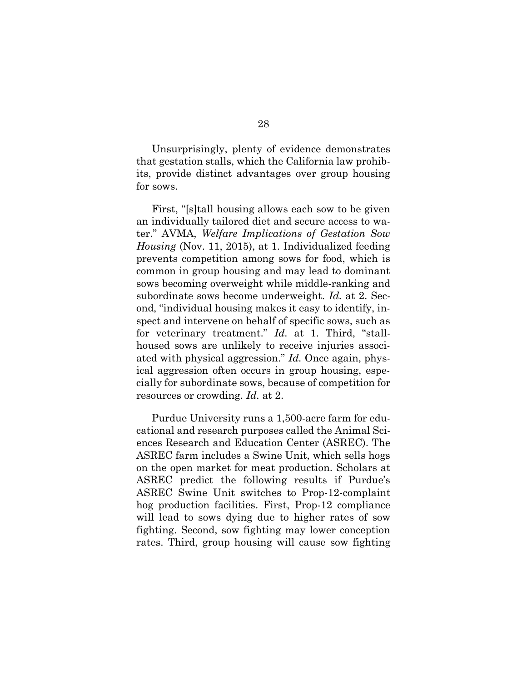Unsurprisingly, plenty of evidence demonstrates that gestation stalls, which the California law prohibits, provide distinct advantages over group housing for sows.

<span id="page-38-0"></span>First, "[s]tall housing allows each sow to be given an individually tailored diet and secure access to water." AVMA, *Welfare Implications of Gestation Sow Housing* (Nov. 11, 2015), at 1. Individualized feeding prevents competition among sows for food, which is common in group housing and may lead to dominant sows becoming overweight while middle-ranking and subordinate sows become underweight. *Id.* at 2. Second, "individual housing makes it easy to identify, inspect and intervene on behalf of specific sows, such as for veterinary treatment." *Id.* at 1. Third, "stallhoused sows are unlikely to receive injuries associated with physical aggression." *Id.* Once again, physical aggression often occurs in group housing, especially for subordinate sows, because of competition for resources or crowding. *Id.* at 2.

Purdue University runs a 1,500-acre farm for educational and research purposes called the Animal Sciences Research and Education Center (ASREC). The ASREC farm includes a Swine Unit, which sells hogs on the open market for meat production. Scholars at ASREC predict the following results if Purdue's ASREC Swine Unit switches to Prop-12-complaint hog production facilities. First, Prop-12 compliance will lead to sows dying due to higher rates of sow fighting. Second, sow fighting may lower conception rates. Third, group housing will cause sow fighting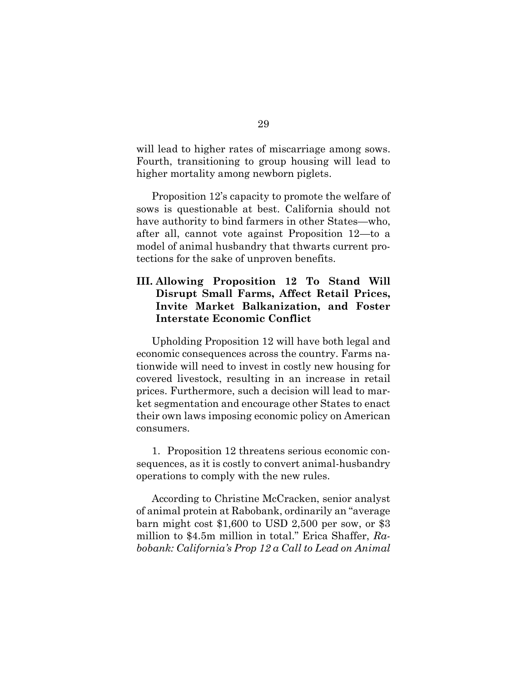will lead to higher rates of miscarriage among sows. Fourth, transitioning to group housing will lead to higher mortality among newborn piglets.

Proposition 12's capacity to promote the welfare of sows is questionable at best. California should not have authority to bind farmers in other States—who, after all, cannot vote against Proposition 12—to a model of animal husbandry that thwarts current protections for the sake of unproven benefits.

### **III. Allowing Proposition 12 To Stand Will Disrupt Small Farms, Affect Retail Prices, Invite Market Balkanization, and Foster Interstate Economic Conflict**

Upholding Proposition 12 will have both legal and economic consequences across the country. Farms nationwide will need to invest in costly new housing for covered livestock, resulting in an increase in retail prices. Furthermore, such a decision will lead to market segmentation and encourage other States to enact their own laws imposing economic policy on American consumers.

1. Proposition 12 threatens serious economic consequences, as it is costly to convert animal-husbandry operations to comply with the new rules.

<span id="page-39-0"></span>According to Christine McCracken, senior analyst of animal protein at Rabobank, ordinarily an "average barn might cost \$1,600 to USD 2,500 per sow, or \$3 million to \$4.5m million in total." Erica Shaffer, *Rabobank: California's Prop 12 a Call to Lead on Animal*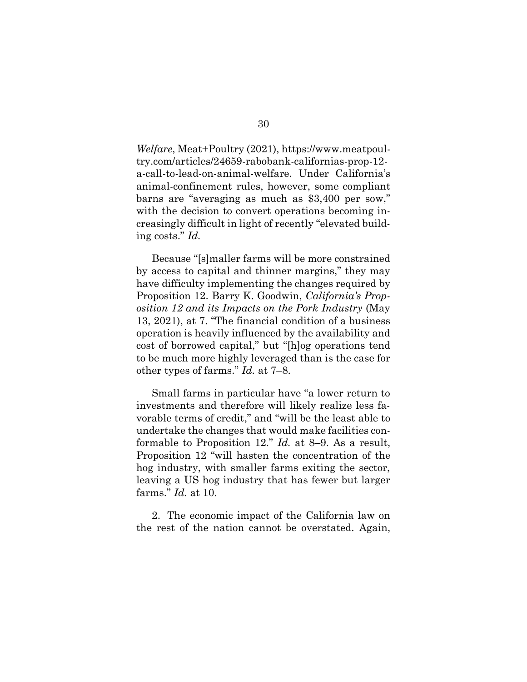*Welfare*, Meat+Poultry (2021), https://www.meatpoultry.com/articles/24659-rabobank-californias-prop-12 a-call-to-lead-on-animal-welfare. Under California's animal-confinement rules, however, some compliant barns are "averaging as much as \$3,400 per sow," with the decision to convert operations becoming increasingly difficult in light of recently "elevated building costs." *Id.*

Because "[s]maller farms will be more constrained by access to capital and thinner margins," they may have difficulty implementing the changes required by Proposition 12. Barry K. Goodwin, *California's Proposition 12 and its Impacts on the Pork Industry* (May 13, 2021), at 7. "The financial condition of a business operation is heavily influenced by the availability and cost of borrowed capital," but "[h]og operations tend to be much more highly leveraged than is the case for other types of farms." *Id.* at 7–8.

Small farms in particular have "a lower return to investments and therefore will likely realize less favorable terms of credit," and "will be the least able to undertake the changes that would make facilities conformable to Proposition 12." *Id.* at 8–9. As a result, Proposition 12 "will hasten the concentration of the hog industry, with smaller farms exiting the sector, leaving a US hog industry that has fewer but larger farms." *Id.* at 10.

2. The economic impact of the California law on the rest of the nation cannot be overstated. Again,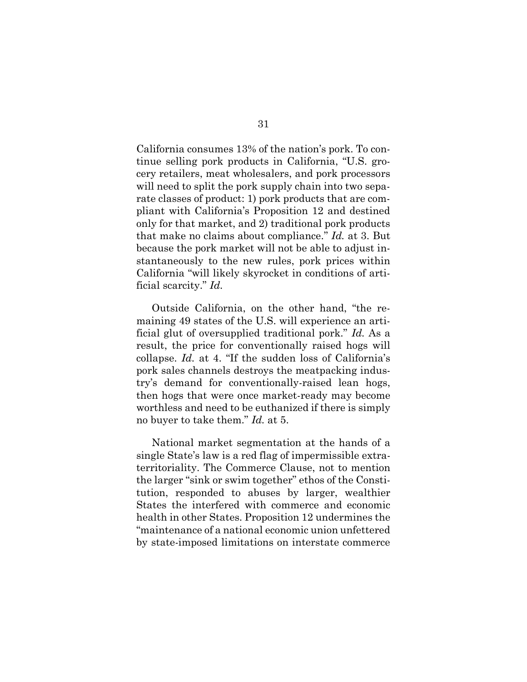California consumes 13% of the nation's pork. To continue selling pork products in California, "U.S. grocery retailers, meat wholesalers, and pork processors will need to split the pork supply chain into two separate classes of product: 1) pork products that are compliant with California's Proposition 12 and destined only for that market, and 2) traditional pork products that make no claims about compliance." *Id.* at 3. But because the pork market will not be able to adjust instantaneously to the new rules, pork prices within California "will likely skyrocket in conditions of artificial scarcity." *Id.* 

Outside California, on the other hand, "the remaining 49 states of the U.S. will experience an artificial glut of oversupplied traditional pork." *Id.* As a result, the price for conventionally raised hogs will collapse. *Id.* at 4. "If the sudden loss of California's pork sales channels destroys the meatpacking industry's demand for conventionally-raised lean hogs, then hogs that were once market-ready may become worthless and need to be euthanized if there is simply no buyer to take them." *Id.* at 5.

National market segmentation at the hands of a single State's law is a red flag of impermissible extraterritoriality. The Commerce Clause, not to mention the larger "sink or swim together" ethos of the Constitution, responded to abuses by larger, wealthier States the interfered with commerce and economic health in other States. Proposition 12 undermines the "maintenance of a national economic union unfettered by state-imposed limitations on interstate commerce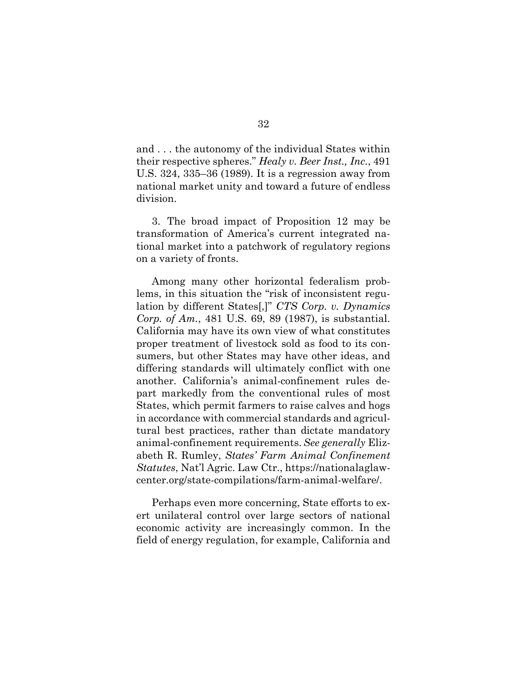and . . . the autonomy of the individual States within their respective spheres." *Healy v. Beer Inst., Inc.*, 491 U.S. 324, 335–36 (1989). It is a regression away from national market unity and toward a future of endless division.

3. The broad impact of Proposition 12 may be transformation of America's current integrated national market into a patchwork of regulatory regions on a variety of fronts.

<span id="page-42-0"></span>Among many other horizontal federalism problems, in this situation the "risk of inconsistent regulation by different States[,]" *CTS Corp. v. Dynamics Corp. of Am.*, 481 U.S. 69, 89 (1987), is substantial. California may have its own view of what constitutes proper treatment of livestock sold as food to its consumers, but other States may have other ideas, and differing standards will ultimately conflict with one another. California's animal-confinement rules depart markedly from the conventional rules of most States, which permit farmers to raise calves and hogs in accordance with commercial standards and agricultural best practices, rather than dictate mandatory animal-confinement requirements.*See generally* Elizabeth R. Rumley, *States' Farm Animal Confinement Statutes*, Nat'l Agric. Law Ctr., https://nationalaglawcenter.org/state-compilations/farm-animal-welfare/.

<span id="page-42-1"></span>Perhaps even more concerning, State efforts to exert unilateral control over large sectors of national economic activity are increasingly common. In the field of energy regulation, for example, California and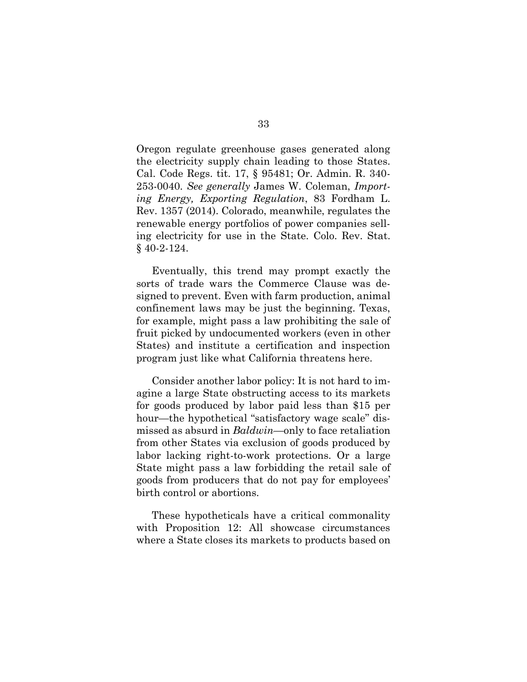<span id="page-43-3"></span><span id="page-43-2"></span><span id="page-43-0"></span>Oregon regulate greenhouse gases generated along the electricity supply chain leading to those States. Cal. Code Regs. tit. 17, § 95481; Or. Admin. R. 340- 253-0040. *See generally* James W. Coleman, *Importing Energy, Exporting Regulation*, 83 Fordham L. Rev. 1357 (2014). Colorado, meanwhile, regulates the renewable energy portfolios of power companies selling electricity for use in the State. Colo. Rev. Stat. § 40-2-124.

<span id="page-43-1"></span>Eventually, this trend may prompt exactly the sorts of trade wars the Commerce Clause was designed to prevent. Even with farm production, animal confinement laws may be just the beginning. Texas, for example, might pass a law prohibiting the sale of fruit picked by undocumented workers (even in other States) and institute a certification and inspection program just like what California threatens here.

Consider another labor policy: It is not hard to imagine a large State obstructing access to its markets for goods produced by labor paid less than \$15 per hour—the hypothetical "satisfactory wage scale" dismissed as absurd in *Baldwin*—only to face retaliation from other States via exclusion of goods produced by labor lacking right-to-work protections. Or a large State might pass a law forbidding the retail sale of goods from producers that do not pay for employees' birth control or abortions.

These hypotheticals have a critical commonality with Proposition 12: All showcase circumstances where a State closes its markets to products based on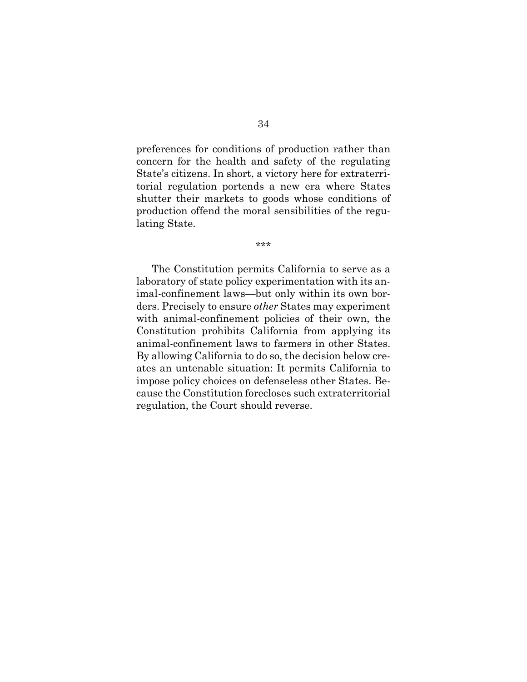preferences for conditions of production rather than concern for the health and safety of the regulating State's citizens. In short, a victory here for extraterritorial regulation portends a new era where States shutter their markets to goods whose conditions of production offend the moral sensibilities of the regulating State.

\*\*\*

The Constitution permits California to serve as a laboratory of state policy experimentation with its animal-confinement laws—but only within its own borders. Precisely to ensure *other* States may experiment with animal-confinement policies of their own, the Constitution prohibits California from applying its animal-confinement laws to farmers in other States. By allowing California to do so, the decision below creates an untenable situation: It permits California to impose policy choices on defenseless other States. Because the Constitution forecloses such extraterritorial regulation, the Court should reverse.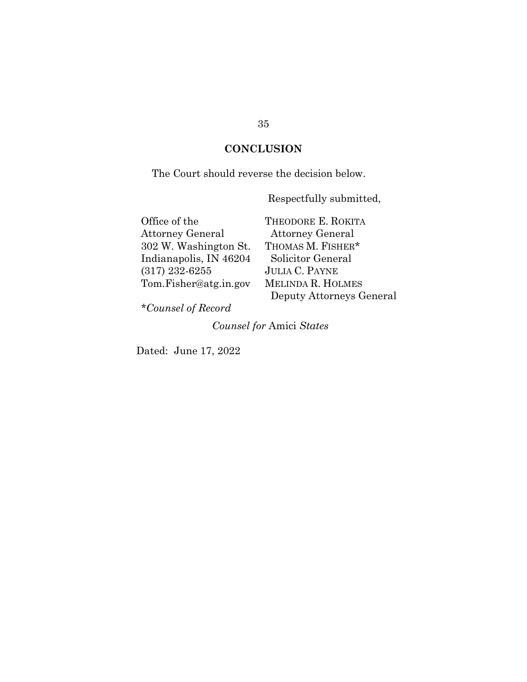### **CONCLUSION**

The Court should reverse the decision below.

Respectfully submitted,

| Office of the           | THEODORE E. ROKITA       |
|-------------------------|--------------------------|
| <b>Attorney General</b> | <b>Attorney General</b>  |
| 302 W. Washington St.   | THOMAS M. FISHER*        |
| Indianapolis, IN 46204  | Solicitor General        |
| $(317)$ 232-6255        | <b>JULIA C. PAYNE</b>    |
| Tom.Fisher@atg.in.gov   | MELINDA R. HOLMES        |
|                         | Deputy Attorneys General |

*\*Counsel of Record*

*Counsel for* Amici *States*

Dated: June 17, 2022

### 35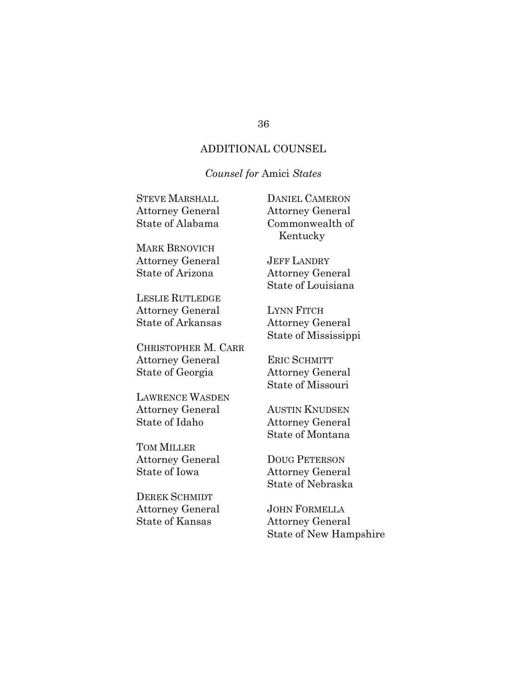### ADDITIONAL COUNSEL

### *Counsel for* Amici *States*

| <b>STEVE MARSHALL</b>     | <b>DANIEL CAMERON</b>   |
|---------------------------|-------------------------|
| Attorney General          | <b>Attorney General</b> |
| State of Alabama          | Commonwealth of         |
|                           | Kentucky                |
| MARK BRNOVICH             |                         |
| Attorney General          | <b>JEFF LANDRY</b>      |
| State of Arizona          | <b>Attorney General</b> |
|                           | State of Louisiana      |
| <b>LESLIE RUTLEDGE</b>    |                         |
| Attorney General          | <b>LYNN FITCH</b>       |
| <b>State of Arkansas</b>  | <b>Attorney General</b> |
|                           | State of Mississippi    |
| CHRISTOPHER M. CARR       |                         |
| Attorney General          | <b>ERIC SCHMITT</b>     |
| State of Georgia          | <b>Attorney General</b> |
|                           | State of Missouri       |
| LAWRENCE WASDEN           |                         |
| Attorney General          | <b>AUSTIN KNUDSEN</b>   |
| State of Idaho            | <b>Attorney General</b> |
|                           | State of Montana        |
| $\pi_{\Omega M}$ Mit i ed |                         |

TOM MILLER Attorney General State of Iowa

DEREK SCHMIDT Attorney General State of Kansas

JOHN FORMELLA

DOUG PETERSON Attorney General State of Nebraska

Attorney General State of New Hampshire

#### 36